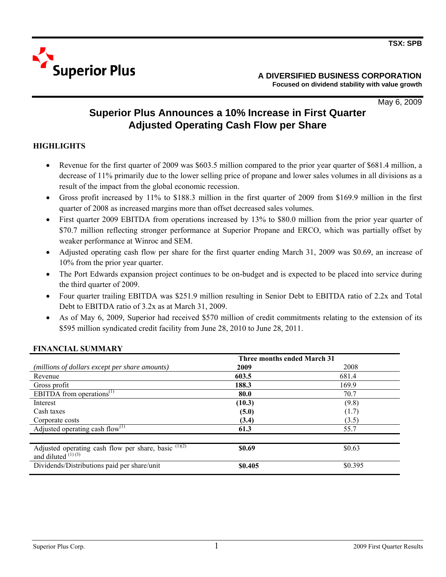

**Focused on dividend stability with value growth** 

May 6, 2009

# **Superior Plus Announces a 10% Increase in First Quarter Adjusted Operating Cash Flow per Share**

## **HIGHLIGHTS**

- Revenue for the first quarter of 2009 was \$603.5 million compared to the prior year quarter of \$681.4 million, a decrease of 11% primarily due to the lower selling price of propane and lower sales volumes in all divisions as a result of the impact from the global economic recession.
- Gross profit increased by 11% to \$188.3 million in the first quarter of 2009 from \$169.9 million in the first quarter of 2008 as increased margins more than offset decreased sales volumes.
- First quarter 2009 EBITDA from operations increased by 13% to \$80.0 million from the prior year quarter of \$70.7 million reflecting stronger performance at Superior Propane and ERCO, which was partially offset by weaker performance at Winroc and SEM.
- Adjusted operating cash flow per share for the first quarter ending March 31, 2009 was \$0.69, an increase of 10% from the prior year quarter.
- The Port Edwards expansion project continues to be on-budget and is expected to be placed into service during the third quarter of 2009.
- Four quarter trailing EBITDA was \$251.9 million resulting in Senior Debt to EBITDA ratio of 2.2x and Total Debt to EBITDA ratio of 3.2x as at March 31, 2009.
- As of May 6, 2009, Superior had received \$570 million of credit commitments relating to the extension of its \$595 million syndicated credit facility from June 28, 2010 to June 28, 2011.

|                                                        | Three months ended March 31 |         |  |  |
|--------------------------------------------------------|-----------------------------|---------|--|--|
| (millions of dollars except per share amounts)         | 2009                        | 2008    |  |  |
| Revenue                                                | 603.5                       | 681.4   |  |  |
| Gross profit                                           | 188.3                       | 169.9   |  |  |
| EBITDA from operations <sup>(1)</sup>                  | 80.0                        | 70.7    |  |  |
| Interest                                               | (10.3)                      | (9.8)   |  |  |
| Cash taxes                                             | (5.0)                       | (1.7)   |  |  |
| Corporate costs                                        | (3.4)                       | (3.5)   |  |  |
| Adjusted operating cash flow $^{(1)}$                  | 61.3                        | 55.7    |  |  |
|                                                        |                             |         |  |  |
| Adjusted operating cash flow per share, basic $(1)(2)$ | \$0.69                      | \$0.63  |  |  |
| and diluted $^{(1)(3)}$                                |                             |         |  |  |
| Dividends/Distributions paid per share/unit            | \$0.405                     | \$0.395 |  |  |
|                                                        |                             |         |  |  |

## **FINANCIAL SUMMARY**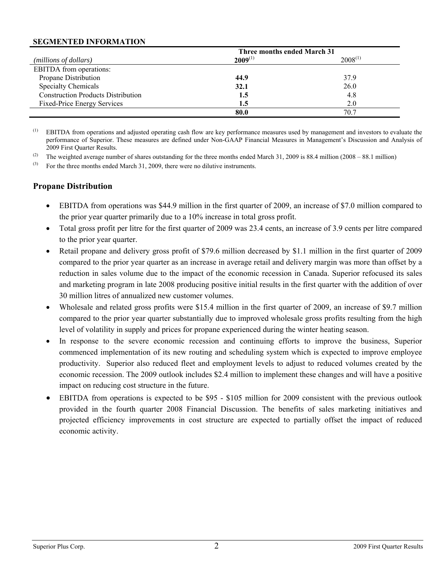### **SEGMENTED INFORMATION**

|                                           | Three months ended March 31 |              |
|-------------------------------------------|-----------------------------|--------------|
| (millions of dollars)                     | $2009^{(1)}$                | $2008^{(1)}$ |
| <b>EBITDA</b> from operations:            |                             |              |
| Propane Distribution                      | 44.9                        | 37.9         |
| <b>Specialty Chemicals</b>                | 32.1                        | 26.0         |
| <b>Construction Products Distribution</b> | 1.5                         | 4.8          |
| <b>Fixed-Price Energy Services</b>        | 1.5                         | 2.0          |
|                                           | 80.0                        | 70.7         |

(1) EBITDA from operations and adjusted operating cash flow are key performance measures used by management and investors to evaluate the performance of Superior. These measures are defined under Non-GAAP Financial Measures in Management's Discussion and Analysis of 2009 First Quarter Results.

<sup>(2)</sup> The weighted average number of shares outstanding for the three months ended March 31, 2009 is 88.4 million (2008 – 88.1 million)

 $^{(3)}$  For the three months ended March 31, 2009, there were no dilutive instruments.

## **Propane Distribution**

- EBITDA from operations was \$44.9 million in the first quarter of 2009, an increase of \$7.0 million compared to the prior year quarter primarily due to a 10% increase in total gross profit.
- Total gross profit per litre for the first quarter of 2009 was 23.4 cents, an increase of 3.9 cents per litre compared to the prior year quarter.
- Retail propane and delivery gross profit of \$79.6 million decreased by \$1.1 million in the first quarter of 2009 compared to the prior year quarter as an increase in average retail and delivery margin was more than offset by a reduction in sales volume due to the impact of the economic recession in Canada. Superior refocused its sales and marketing program in late 2008 producing positive initial results in the first quarter with the addition of over 30 million litres of annualized new customer volumes.
- Wholesale and related gross profits were \$15.4 million in the first quarter of 2009, an increase of \$9.7 million compared to the prior year quarter substantially due to improved wholesale gross profits resulting from the high level of volatility in supply and prices for propane experienced during the winter heating season.
- In response to the severe economic recession and continuing efforts to improve the business, Superior commenced implementation of its new routing and scheduling system which is expected to improve employee productivity. Superior also reduced fleet and employment levels to adjust to reduced volumes created by the economic recession. The 2009 outlook includes \$2.4 million to implement these changes and will have a positive impact on reducing cost structure in the future.
- EBITDA from operations is expected to be \$95 \$105 million for 2009 consistent with the previous outlook provided in the fourth quarter 2008 Financial Discussion. The benefits of sales marketing initiatives and projected efficiency improvements in cost structure are expected to partially offset the impact of reduced economic activity.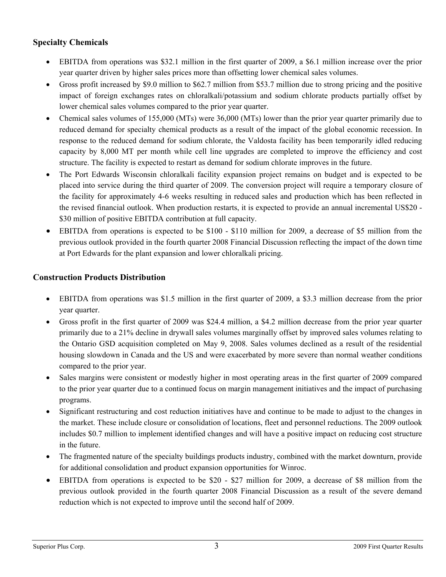## **Specialty Chemicals**

- EBITDA from operations was \$32.1 million in the first quarter of 2009, a \$6.1 million increase over the prior year quarter driven by higher sales prices more than offsetting lower chemical sales volumes.
- Gross profit increased by \$9.0 million to \$62.7 million from \$53.7 million due to strong pricing and the positive impact of foreign exchanges rates on chloralkali/potassium and sodium chlorate products partially offset by lower chemical sales volumes compared to the prior year quarter.
- Chemical sales volumes of 155,000 (MTs) were 36,000 (MTs) lower than the prior year quarter primarily due to reduced demand for specialty chemical products as a result of the impact of the global economic recession. In response to the reduced demand for sodium chlorate, the Valdosta facility has been temporarily idled reducing capacity by 8,000 MT per month while cell line upgrades are completed to improve the efficiency and cost structure. The facility is expected to restart as demand for sodium chlorate improves in the future.
- The Port Edwards Wisconsin chloralkali facility expansion project remains on budget and is expected to be placed into service during the third quarter of 2009. The conversion project will require a temporary closure of the facility for approximately 4-6 weeks resulting in reduced sales and production which has been reflected in the revised financial outlook. When production restarts, it is expected to provide an annual incremental US\$20 - \$30 million of positive EBITDA contribution at full capacity.
- EBITDA from operations is expected to be \$100 \$110 million for 2009, a decrease of \$5 million from the previous outlook provided in the fourth quarter 2008 Financial Discussion reflecting the impact of the down time at Port Edwards for the plant expansion and lower chloralkali pricing.

## **Construction Products Distribution**

- EBITDA from operations was \$1.5 million in the first quarter of 2009, a \$3.3 million decrease from the prior year quarter.
- Gross profit in the first quarter of 2009 was \$24.4 million, a \$4.2 million decrease from the prior year quarter primarily due to a 21% decline in drywall sales volumes marginally offset by improved sales volumes relating to the Ontario GSD acquisition completed on May 9, 2008. Sales volumes declined as a result of the residential housing slowdown in Canada and the US and were exacerbated by more severe than normal weather conditions compared to the prior year.
- Sales margins were consistent or modestly higher in most operating areas in the first quarter of 2009 compared to the prior year quarter due to a continued focus on margin management initiatives and the impact of purchasing programs.
- Significant restructuring and cost reduction initiatives have and continue to be made to adjust to the changes in the market. These include closure or consolidation of locations, fleet and personnel reductions. The 2009 outlook includes \$0.7 million to implement identified changes and will have a positive impact on reducing cost structure in the future.
- The fragmented nature of the specialty buildings products industry, combined with the market downturn, provide for additional consolidation and product expansion opportunities for Winroc.
- EBITDA from operations is expected to be \$20 \$27 million for 2009, a decrease of \$8 million from the previous outlook provided in the fourth quarter 2008 Financial Discussion as a result of the severe demand reduction which is not expected to improve until the second half of 2009.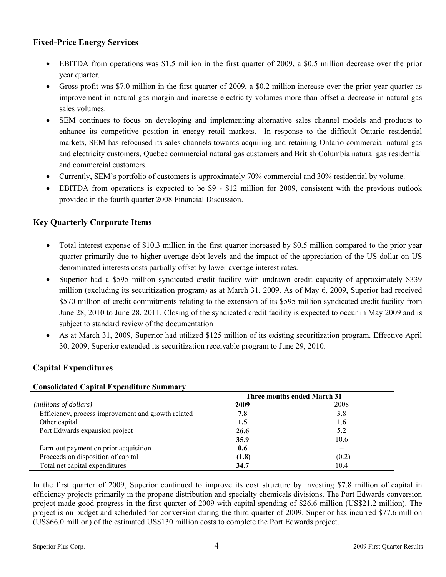## **Fixed-Price Energy Services**

- EBITDA from operations was \$1.5 million in the first quarter of 2009, a \$0.5 million decrease over the prior year quarter.
- Gross profit was \$7.0 million in the first quarter of 2009, a \$0.2 million increase over the prior year quarter as improvement in natural gas margin and increase electricity volumes more than offset a decrease in natural gas sales volumes.
- SEM continues to focus on developing and implementing alternative sales channel models and products to enhance its competitive position in energy retail markets. In response to the difficult Ontario residential markets, SEM has refocused its sales channels towards acquiring and retaining Ontario commercial natural gas and electricity customers, Quebec commercial natural gas customers and British Columbia natural gas residential and commercial customers.
- Currently, SEM's portfolio of customers is approximately 70% commercial and 30% residential by volume.
- EBITDA from operations is expected to be \$9 \$12 million for 2009, consistent with the previous outlook provided in the fourth quarter 2008 Financial Discussion.

## **Key Quarterly Corporate Items**

- Total interest expense of \$10.3 million in the first quarter increased by \$0.5 million compared to the prior year quarter primarily due to higher average debt levels and the impact of the appreciation of the US dollar on US denominated interests costs partially offset by lower average interest rates.
- Superior had a \$595 million syndicated credit facility with undrawn credit capacity of approximately \$339 million (excluding its securitization program) as at March 31, 2009. As of May 6, 2009, Superior had received \$570 million of credit commitments relating to the extension of its \$595 million syndicated credit facility from June 28, 2010 to June 28, 2011. Closing of the syndicated credit facility is expected to occur in May 2009 and is subject to standard review of the documentation
- As at March 31, 2009, Superior had utilized \$125 million of its existing securitization program. Effective April 30, 2009, Superior extended its securitization receivable program to June 29, 2010.

## **Capital Expenditures**

### **Consolidated Capital Expenditure Summary**

|                                                    | Three months ended March 31 |       |  |  |
|----------------------------------------------------|-----------------------------|-------|--|--|
| (millions of dollars)                              | 2009                        | 2008  |  |  |
| Efficiency, process improvement and growth related | 7.8                         | 3.8   |  |  |
| Other capital                                      | 1.5                         | 1.6   |  |  |
| Port Edwards expansion project                     | 26.6                        | 5.2   |  |  |
|                                                    | 35.9                        | 10.6  |  |  |
| Earn-out payment on prior acquisition              | 0.6                         |       |  |  |
| Proceeds on disposition of capital                 | (1.8)                       | (0.2) |  |  |
| Total net capital expenditures                     | 34.7                        | 10.4  |  |  |

In the first quarter of 2009, Superior continued to improve its cost structure by investing \$7.8 million of capital in efficiency projects primarily in the propane distribution and specialty chemicals divisions. The Port Edwards conversion project made good progress in the first quarter of 2009 with capital spending of \$26.6 million (US\$21.2 million). The project is on budget and scheduled for conversion during the third quarter of 2009. Superior has incurred \$77.6 million (US\$66.0 million) of the estimated US\$130 million costs to complete the Port Edwards project.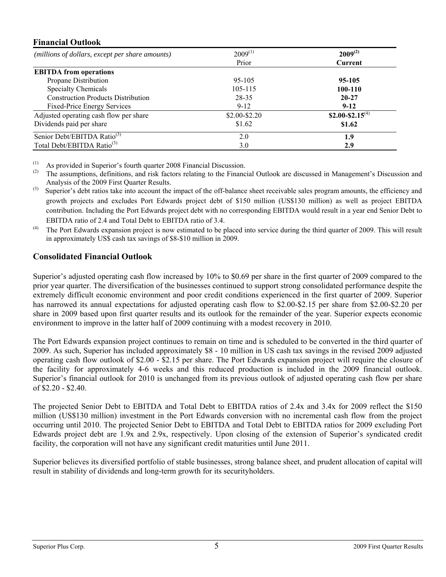### **Financial Outlook**

| т піапсіат Очивок                               |               |                              |
|-------------------------------------------------|---------------|------------------------------|
| (millions of dollars, except per share amounts) | $2009^{(1)}$  | $2009^{(2)}$                 |
|                                                 | Prior         | Current                      |
| <b>EBITDA</b> from operations                   |               |                              |
| Propane Distribution                            | 95-105        | $95-105$                     |
| <b>Specialty Chemicals</b>                      | 105-115       | 100-110                      |
| <b>Construction Products Distribution</b>       | 28-35         | $20 - 27$                    |
| <b>Fixed-Price Energy Services</b>              | $9 - 12$      | $9-12$                       |
| Adjusted operating cash flow per share          | $$2.00-S2.20$ | \$2.00-\$2.15 <sup>(4)</sup> |
| Dividends paid per share                        | \$1.62        | \$1.62                       |
| Senior Debt/EBITDA Ratio <sup>(3)</sup>         | 2.0           | 1.9                          |
| Total Debt/EBITDA Ratio <sup>(3)</sup>          | 3.0           | 2.9                          |

(1) As provided in Superior's fourth quarter 2008 Financial Discussion.<br>(2) The assumptions, definitions, and risk factors relating to the Financial

- (2) The assumptions, definitions, and risk factors relating to the Financial Outlook are discussed in Management's Discussion and Analysis of the 2009 First Quarter Results.
- <sup>(3)</sup> Superior's debt ratios take into account the impact of the off-balance sheet receivable sales program amounts, the efficiency and growth projects and excludes Port Edwards project debt of \$150 million (US\$130 million) as well as project EBITDA contribution. Including the Port Edwards project debt with no corresponding EBITDA would result in a year end Senior Debt to EBITDA ratio of 2.4 and Total Debt to EBITDA ratio of 3.4.
- $^{(4)}$  The Port Edwards expansion project is now estimated to be placed into service during the third quarter of 2009. This will result in approximately US\$ cash tax savings of \$8-\$10 million in 2009.

## **Consolidated Financial Outlook**

Superior's adjusted operating cash flow increased by 10% to \$0.69 per share in the first quarter of 2009 compared to the prior year quarter. The diversification of the businesses continued to support strong consolidated performance despite the extremely difficult economic environment and poor credit conditions experienced in the first quarter of 2009. Superior has narrowed its annual expectations for adjusted operating cash flow to \$2.00-\$2.15 per share from \$2.00-\$2.20 per share in 2009 based upon first quarter results and its outlook for the remainder of the year. Superior expects economic environment to improve in the latter half of 2009 continuing with a modest recovery in 2010.

The Port Edwards expansion project continues to remain on time and is scheduled to be converted in the third quarter of 2009. As such, Superior has included approximately \$8 - 10 million in US cash tax savings in the revised 2009 adjusted operating cash flow outlook of \$2.00 - \$2.15 per share. The Port Edwards expansion project will require the closure of the facility for approximately 4-6 weeks and this reduced production is included in the 2009 financial outlook. Superior's financial outlook for 2010 is unchanged from its previous outlook of adjusted operating cash flow per share of \$2.20 - \$2.40.

The projected Senior Debt to EBITDA and Total Debt to EBITDA ratios of 2.4x and 3.4x for 2009 reflect the \$150 million (US\$130 million) investment in the Port Edwards conversion with no incremental cash flow from the project occurring until 2010. The projected Senior Debt to EBITDA and Total Debt to EBITDA ratios for 2009 excluding Port Edwards project debt are 1.9x and 2.9x, respectively. Upon closing of the extension of Superior's syndicated credit facility, the corporation will not have any significant credit maturities until June 2011.

Superior believes its diversified portfolio of stable businesses, strong balance sheet, and prudent allocation of capital will result in stability of dividends and long-term growth for its securityholders.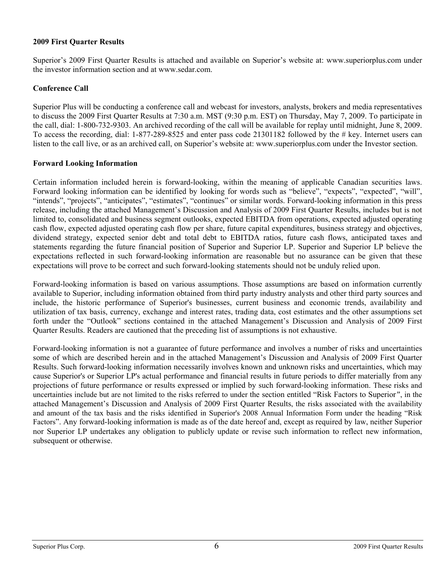### **2009 First Quarter Results**

Superior's 2009 First Quarter Results is attached and available on Superior's website at: [www.superiorplus.com](http://www.superiorplus.com/) under the investor information section and at [www.sedar.com.](http://www.sedar.com/)

### **Conference Call**

Superior Plus will be conducting a conference call and webcast for investors, analysts, brokers and media representatives to discuss the 2009 First Quarter Results at 7:30 a.m. MST (9:30 p.m. EST) on Thursday, May 7, 2009. To participate in the call, dial: 1-800-732-9303. An archived recording of the call will be available for replay until midnight, June 8, 2009. To access the recording, dial: 1-877-289-8525 and enter pass code 21301182 followed by the # key. Internet users can listen to the call live, or as an archived call, on Superior's website at: www.superiorplus.com under the Investor section.

#### **Forward Looking Information**

Certain information included herein is forward-looking, within the meaning of applicable Canadian securities laws. Forward looking information can be identified by looking for words such as "believe", "expects", "expected", "will", "intends", "projects", "anticipates", "estimates", "continues" or similar words. Forward-looking information in this press release, including the attached Management's Discussion and Analysis of 2009 First Quarter Results, includes but is not limited to, consolidated and business segment outlooks, expected EBITDA from operations, expected adjusted operating cash flow, expected adjusted operating cash flow per share, future capital expenditures, business strategy and objectives, dividend strategy, expected senior debt and total debt to EBITDA ratios, future cash flows, anticipated taxes and statements regarding the future financial position of Superior and Superior LP. Superior and Superior LP believe the expectations reflected in such forward-looking information are reasonable but no assurance can be given that these expectations will prove to be correct and such forward-looking statements should not be unduly relied upon.

Forward-looking information is based on various assumptions. Those assumptions are based on information currently available to Superior, including information obtained from third party industry analysts and other third party sources and include, the historic performance of Superior's businesses, current business and economic trends, availability and utilization of tax basis, currency, exchange and interest rates, trading data, cost estimates and the other assumptions set forth under the "Outlook" sections contained in the attached Management's Discussion and Analysis of 2009 First Quarter Results. Readers are cautioned that the preceding list of assumptions is not exhaustive.

Forward-looking information is not a guarantee of future performance and involves a number of risks and uncertainties some of which are described herein and in the attached Management's Discussion and Analysis of 2009 First Quarter Results. Such forward-looking information necessarily involves known and unknown risks and uncertainties, which may cause Superior's or Superior LP's actual performance and financial results in future periods to differ materially from any projections of future performance or results expressed or implied by such forward-looking information. These risks and uncertainties include but are not limited to the risks referred to under the section entitled "Risk Factors to Superior*"*, in the attached Management's Discussion and Analysis of 2009 First Quarter Results, the risks associated with the availability and amount of the tax basis and the risks identified in Superior's 2008 Annual Information Form under the heading "Risk Factors". Any forward-looking information is made as of the date hereof and, except as required by law, neither Superior nor Superior LP undertakes any obligation to publicly update or revise such information to reflect new information, subsequent or otherwise.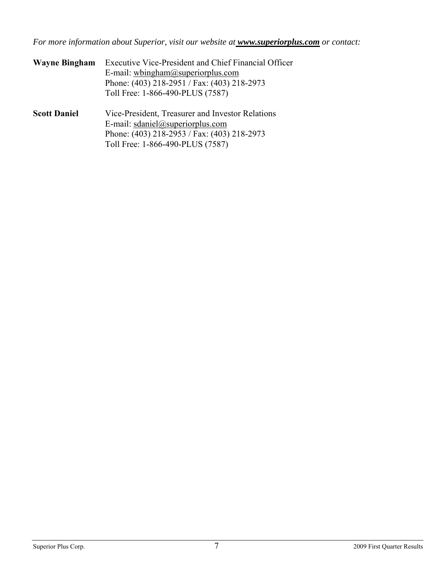*For more information about Superior, visit our website at www.superiorplus.com or contact:* 

| <b>Wayne Bingham</b> | Executive Vice-President and Chief Financial Officer |  |  |  |
|----------------------|------------------------------------------------------|--|--|--|
|                      | E-mail: $wbingham@superiorphus.com$                  |  |  |  |
|                      | Phone: (403) 218-2951 / Fax: (403) 218-2973          |  |  |  |
|                      | Toll Free: 1-866-490-PLUS (7587)                     |  |  |  |
| <b>Scott Daniel</b>  | Vice-President, Treasurer and Investor Relations     |  |  |  |
|                      | E-mail: $sdaniel@superiorphus.com$                   |  |  |  |
|                      | Phone: (403) 218-2953 / Fax: (403) 218-2973          |  |  |  |
|                      | Toll Free: 1-866-490-PLUS (7587)                     |  |  |  |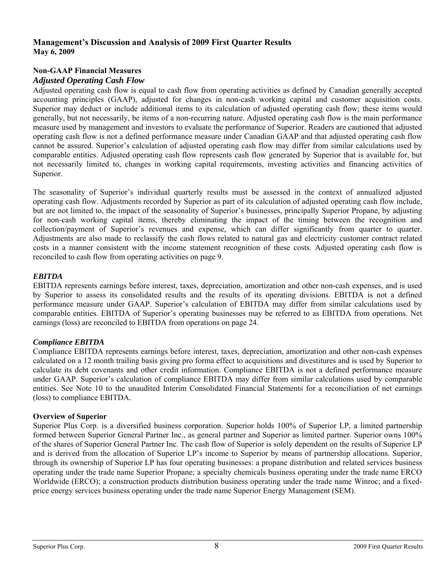### **Management's Discussion and Analysis of 2009 First Quarter Results May 6, 2009**

## **Non-GAAP Financial Measures**

## *Adjusted Operating Cash Flow*

Adjusted operating cash flow is equal to cash flow from operating activities as defined by Canadian generally accepted accounting principles (GAAP), adjusted for changes in non-cash working capital and customer acquisition costs. Superior may deduct or include additional items to its calculation of adjusted operating cash flow; these items would generally, but not necessarily, be items of a non-recurring nature. Adjusted operating cash flow is the main performance measure used by management and investors to evaluate the performance of Superior. Readers are cautioned that adjusted operating cash flow is not a defined performance measure under Canadian GAAP and that adjusted operating cash flow cannot be assured. Superior's calculation of adjusted operating cash flow may differ from similar calculations used by comparable entities. Adjusted operating cash flow represents cash flow generated by Superior that is available for, but not necessarily limited to, changes in working capital requirements, investing activities and financing activities of Superior.

The seasonality of Superior's individual quarterly results must be assessed in the context of annualized adjusted operating cash flow. Adjustments recorded by Superior as part of its calculation of adjusted operating cash flow include, but are not limited to, the impact of the seasonality of Superior's businesses, principally Superior Propane, by adjusting for non-cash working capital items, thereby eliminating the impact of the timing between the recognition and collection/payment of Superior's revenues and expense, which can differ significantly from quarter to quarter. Adjustments are also made to reclassify the cash flows related to natural gas and electricity customer contract related costs in a manner consistent with the income statement recognition of these costs. Adjusted operating cash flow is reconciled to cash flow from operating activities on page 9.

## *EBITDA*

EBITDA represents earnings before interest, taxes, depreciation, amortization and other non-cash expenses, and is used by Superior to assess its consolidated results and the results of its operating divisions. EBITDA is not a defined performance measure under GAAP. Superior's calculation of EBITDA may differ from similar calculations used by comparable entities. EBITDA of Superior's operating businesses may be referred to as EBITDA from operations. Net earnings (loss) are reconciled to EBITDA from operations on page 24.

## *Compliance EBITDA*

Compliance EBITDA represents earnings before interest, taxes, depreciation, amortization and other non-cash expenses calculated on a 12 month trailing basis giving pro forma effect to acquisitions and divestitures and is used by Superior to calculate its debt covenants and other credit information. Compliance EBITDA is not a defined performance measure under GAAP. Superior's calculation of compliance EBITDA may differ from similar calculations used by comparable entities. See Note 10 to the unaudited Interim Consolidated Financial Statements for a reconciliation of net earnings (loss) to compliance EBITDA.

## **Overview of Superior**

Superior Plus Corp. is a diversified business corporation. Superior holds 100% of Superior LP, a limited partnership formed between Superior General Partner Inc., as general partner and Superior as limited partner. Superior owns 100% of the shares of Superior General Partner Inc. The cash flow of Superior is solely dependent on the results of Superior LP and is derived from the allocation of Superior LP's income to Superior by means of partnership allocations. Superior, through its ownership of Superior LP has four operating businesses: a propane distribution and related services business operating under the trade name Superior Propane; a specialty chemicals business operating under the trade name ERCO Worldwide (ERCO); a construction products distribution business operating under the trade name Winroc; and a fixedprice energy services business operating under the trade name Superior Energy Management (SEM).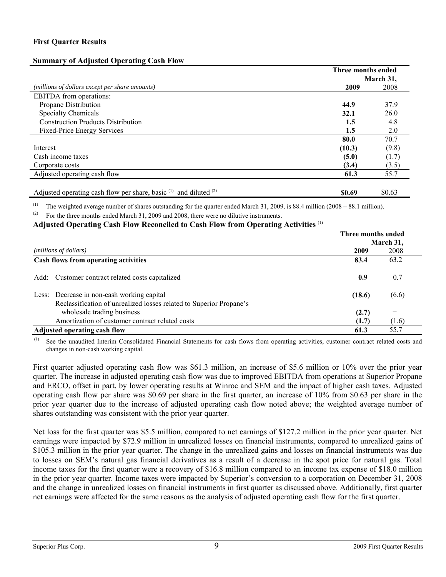## **First Quarter Results**

### **Summary of Adjusted Operating Cash Flow**

|                                                                                   |        | Three months ended |  |
|-----------------------------------------------------------------------------------|--------|--------------------|--|
|                                                                                   |        | March 31,          |  |
| (millions of dollars except per share amounts)                                    | 2009   | 2008               |  |
| <b>EBITDA</b> from operations:                                                    |        |                    |  |
| Propane Distribution                                                              | 44.9   | 37.9               |  |
| <b>Specialty Chemicals</b>                                                        | 32.1   | 26.0               |  |
| <b>Construction Products Distribution</b>                                         | 1.5    | 4.8                |  |
| <b>Fixed-Price Energy Services</b>                                                | 1.5    | 2.0                |  |
|                                                                                   | 80.0   | 70.7               |  |
| Interest                                                                          | (10.3) | (9.8)              |  |
| Cash income taxes                                                                 | (5.0)  | (1.7)              |  |
| Corporate costs                                                                   | (3.4)  | (3.5)              |  |
| Adjusted operating cash flow                                                      | 61.3   | 55.7               |  |
|                                                                                   |        |                    |  |
| and diluted $(2)$<br>Adjusted operating cash flow per share, basic <sup>(1)</sup> | \$0.69 | \$0.63             |  |

(1) The weighted average number of shares outstanding for the quarter ended March 31, 2009, is 88.4 million (2008 – 88.1 million).

(2) For the three months ended March 31, 2009 and 2008, there were no dilutive instruments.

#### **Adjusted Operating Cash Flow Reconciled to Cash Flow from Operating Activities** (1)

| Three months ended                                                                                                |                 |       |  |
|-------------------------------------------------------------------------------------------------------------------|-----------------|-------|--|
|                                                                                                                   | March 31,       |       |  |
| ( <i>millions of dollars</i> )                                                                                    | 2008<br>2009    |       |  |
| Cash flows from operating activities                                                                              | 63.2<br>83.4    |       |  |
| Add: Customer contract related costs capitalized                                                                  | 0.7<br>0.9      |       |  |
| Less: Decrease in non-cash working capital<br>Reclassification of unrealized losses related to Superior Propane's | (18.6)<br>(6.6) |       |  |
| wholesale trading business                                                                                        | (2.7)<br>-      |       |  |
| Amortization of customer contract related costs                                                                   | (1.7)           | (1.6) |  |
| Adjusted operating cash flow                                                                                      | 55.7<br>61.3    |       |  |

 (1) See the unaudited Interim Consolidated Financial Statements for cash flows from operating activities, customer contract related costs and changes in non-cash working capital.

First quarter adjusted operating cash flow was \$61.3 million, an increase of \$5.6 million or 10% over the prior year quarter. The increase in adjusted operating cash flow was due to improved EBITDA from operations at Superior Propane and ERCO, offset in part, by lower operating results at Winroc and SEM and the impact of higher cash taxes. Adjusted operating cash flow per share was \$0.69 per share in the first quarter, an increase of 10% from \$0.63 per share in the prior year quarter due to the increase of adjusted operating cash flow noted above; the weighted average number of shares outstanding was consistent with the prior year quarter.

Net loss for the first quarter was \$5.5 million, compared to net earnings of \$127.2 million in the prior year quarter. Net earnings were impacted by \$72.9 million in unrealized losses on financial instruments, compared to unrealized gains of \$105.3 million in the prior year quarter. The change in the unrealized gains and losses on financial instruments was due to losses on SEM's natural gas financial derivatives as a result of a decrease in the spot price for natural gas. Total income taxes for the first quarter were a recovery of \$16.8 million compared to an income tax expense of \$18.0 million in the prior year quarter. Income taxes were impacted by Superior's conversion to a corporation on December 31, 2008 and the change in unrealized losses on financial instruments in first quarter as discussed above. Additionally, first quarter net earnings were affected for the same reasons as the analysis of adjusted operating cash flow for the first quarter.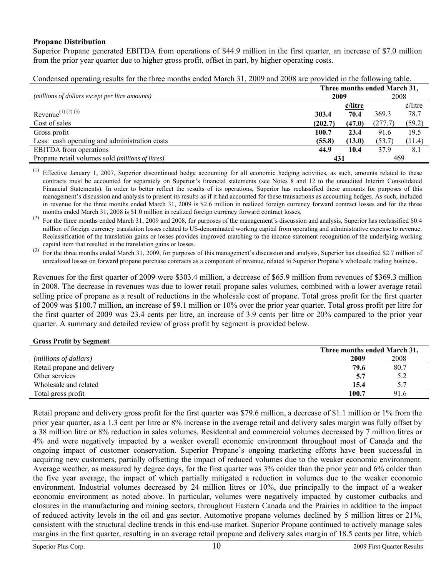### **Propane Distribution**

Superior Propane generated EBITDA from operations of \$44.9 million in the first quarter, an increase of \$7.0 million from the prior year quarter due to higher gross profit, offset in part, by higher operating costs.

| Condensed operating results for the three months ended March 31, 2009 and 2008 are provided in the following table. |  |
|---------------------------------------------------------------------------------------------------------------------|--|

|                                                  | Three months ended March 31, |                   |         |                                   |  |
|--------------------------------------------------|------------------------------|-------------------|---------|-----------------------------------|--|
| (millions of dollars except per litre amounts)   |                              | 2009              |         | 2008                              |  |
|                                                  |                              | $\epsilon$ /litre |         | $\frac{\cancel{c}}{\text{litre}}$ |  |
| Revenue <sup>(1)</sup> (2) <sup>(3)</sup>        | 303.4                        | 70.4              | 369.3   | 78.7                              |  |
| Cost of sales                                    | (202.7)                      | (47.0)            | (277.7) | (59.2)                            |  |
| Gross profit                                     | 100.7                        | 23.4              | 91.6    | 19.5                              |  |
| Less: cash operating and administration costs    | (55.8)                       | (13.0)            | (53.7)  | (11.4)                            |  |
| <b>EBITDA</b> from operations                    | 44.9                         | 10.4              | 37.9    | 8.1                               |  |
| Propane retail volumes sold (millions of litres) | 431                          |                   | 469     |                                   |  |

(1) Effective January 1, 2007, Superior discontinued hedge accounting for all economic hedging activities, as such, amounts related to these contracts must be accounted for separately on Superior's financial statements (see Notes 8 and 12 to the unaudited Interim Consolidated Financial Statements). In order to better reflect the results of its operations, Superior has reclassified these amounts for purposes of this management's discussion and analysis to present its results as if it had accounted for these transactions as accounting hedges. As such, included in revenue for the three months ended March 31, 2009 is \$2.6 million in realized foreign currency forward contract losses and for the three months ended March 31, 2008 is \$1.0 million in realized foreign currency forward contract losses.

<sup>(2)</sup> For the three months ended March 31, 2009 and 2008, for purposes of the management's discussion and analysis, Superior has reclassified \$0.4 million of foreign currency translation losses related to US-denominated working capital from operating and administrative expense to revenue. Reclassification of the translation gains or losses provides improved matching to the income statement recognition of the underlying working capital item that resulted in the translation gains or losses.

 $^{(3)}$  For the three months ended March 31, 2009, for purposes of this management's discussion and analysis, Superior has classified \$2.7 million of unrealized losses on forward propane purchase contracts as a component of revenue, related to Superior Propane's wholesale trading business.

Revenues for the first quarter of 2009 were \$303.4 million, a decrease of \$65.9 million from revenues of \$369.3 million in 2008. The decrease in revenues was due to lower retail propane sales volumes, combined with a lower average retail selling price of propane as a result of reductions in the wholesale cost of propane. Total gross profit for the first quarter of 2009 was \$100.7 million, an increase of \$9.1 million or 10% over the prior year quarter. Total gross profit per litre for the first quarter of 2009 was 23.4 cents per litre, an increase of 3.9 cents per litre or 20% compared to the prior year quarter. A summary and detailed review of gross profit by segment is provided below.

#### **Gross Profit by Segment**

|                             | Three months ended March 31, |      |  |
|-----------------------------|------------------------------|------|--|
| (millions of dollars)       | 2009                         | 2008 |  |
| Retail propane and delivery | 79.6                         | 80.7 |  |
| Other services              | 5.7                          | 5.2  |  |
| Wholesale and related       | 15.4                         | 5.7  |  |
| Total gross profit          | 100.7                        | 91.6 |  |

Retail propane and delivery gross profit for the first quarter was \$79.6 million, a decrease of \$1.1 million or 1% from the prior year quarter, as a 1.3 cent per litre or 8% increase in the average retail and delivery sales margin was fully offset by a 38 million litre or 8% reduction in sales volumes. Residential and commercial volumes decreased by 7 million litres or 4% and were negatively impacted by a weaker overall economic environment throughout most of Canada and the ongoing impact of customer conservation. Superior Propane's ongoing marketing efforts have been successful in acquiring new customers, partially offsetting the impact of reduced volumes due to the weaker economic environment. Average weather, as measured by degree days, for the first quarter was 3% colder than the prior year and 6% colder than the five year average, the impact of which partially mitigated a reduction in volumes due to the weaker economic environment. Industrial volumes decreased by 24 million litres or 10%, due principally to the impact of a weaker economic environment as noted above. In particular, volumes were negatively impacted by customer cutbacks and closures in the manufacturing and mining sectors, throughout Eastern Canada and the Prairies in addition to the impact of reduced activity levels in the oil and gas sector. Automotive propane volumes declined by 5 million litres or 21%, consistent with the structural decline trends in this end-use market. Superior Propane continued to actively manage sales margins in the first quarter, resulting in an average retail propane and delivery sales margin of 18.5 cents per litre, which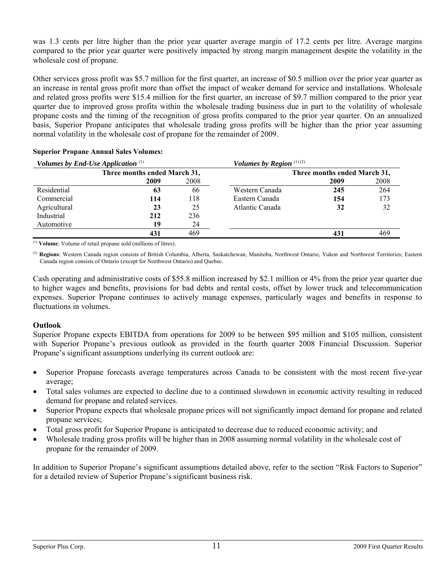was 1.3 cents per litre higher than the prior year quarter average margin of 17.2 cents per litre. Average margins compared to the prior year quarter were positively impacted by strong margin management despite the volatility in the wholesale cost of propane.

Other services gross profit was \$5.7 million for the first quarter, an increase of \$0.5 million over the prior year quarter as an increase in rental gross profit more than offset the impact of weaker demand for service and installations. Wholesale and related gross profits were \$15.4 million for the first quarter, an increase of \$9.7 million compared to the prior year quarter due to improved gross profits within the wholesale trading business due in part to the volatility of wholesale propane costs and the timing of the recognition of gross profits compared to the prior year quarter. On an annualized basis, Superior Propane anticipates that wholesale trading gross profits will be higher than the prior year assuming normal volatility in the wholesale cost of propane for the remainder of 2009.

| Volumes by End-Use Application $(1)$ |      | Volumes by Region $(1)(2)$ |                              |      |     |
|--------------------------------------|------|----------------------------|------------------------------|------|-----|
| Three months ended March 31,         |      |                            | Three months ended March 31, |      |     |
|                                      | 2009 | 2008                       |                              | 2008 |     |
| Residential                          | 63   | 66                         | Western Canada               | 245  | 264 |
| Commercial                           | 114  | 118                        | Eastern Canada               | 154  | 173 |
| Agricultural                         | 23   | 25                         | Atlantic Canada              | 32   | 32  |
| Industrial                           | 212  | 236                        |                              |      |     |
| Automotive                           | 19   | 24                         |                              |      |     |
|                                      | 431  | 469                        |                              | 431  | 469 |

### **Superior Propane Annual Sales Volumes:**

(1) **Volume**: Volume of retail propane sold (millions of litres).

(2) **Regions**: Western Canada region consists of British Columbia, Alberta, Saskatchewan, Manitoba, Northwest Ontario, Yukon and Northwest Territories; Eastern Canada region consists of Ontario (except for Northwest Ontario) and Quebec.

Cash operating and administrative costs of \$55.8 million increased by \$2.1 million or 4% from the prior year quarter due to higher wages and benefits, provisions for bad debts and rental costs, offset by lower truck and telecommunication expenses. Superior Propane continues to actively manage expenses, particularly wages and benefits in response to fluctuations in volumes.

### **Outlook**

Superior Propane expects EBITDA from operations for 2009 to be between \$95 million and \$105 million, consistent with Superior Propane's previous outlook as provided in the fourth quarter 2008 Financial Discussion. Superior Propane's significant assumptions underlying its current outlook are:

- Superior Propane forecasts average temperatures across Canada to be consistent with the most recent five-year average;
- Total sales volumes are expected to decline due to a continued slowdown in economic activity resulting in reduced demand for propane and related services.
- Superior Propane expects that wholesale propane prices will not significantly impact demand for propane and related propane services;
- Total gross profit for Superior Propane is anticipated to decrease due to reduced economic activity; and
- Wholesale trading gross profits will be higher than in 2008 assuming normal volatility in the wholesale cost of propane for the remainder of 2009.

In addition to Superior Propane's significant assumptions detailed above, refer to the section "Risk Factors to Superior" for a detailed review of Superior Propane's significant business risk.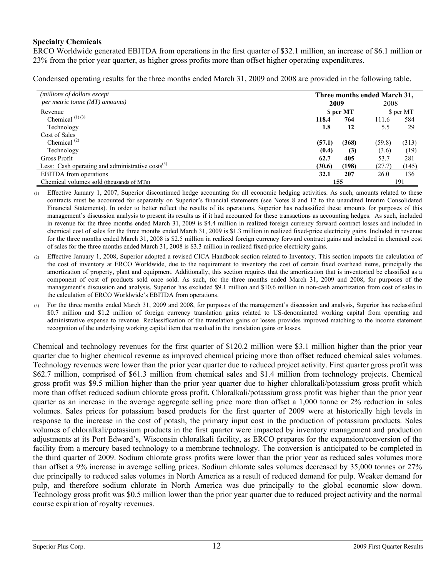### **Specialty Chemicals**

ERCO Worldwide generated EBITDA from operations in the first quarter of \$32.1 million, an increase of \$6.1 million or 23% from the prior year quarter, as higher gross profits more than offset higher operating expenditures.

Condensed operating results for the three months ended March 31, 2009 and 2008 are provided in the following table.

| (millions of dollars except)                          |        | Three months ended March 31, |        |           |
|-------------------------------------------------------|--------|------------------------------|--------|-----------|
| <i>per metric tonne (MT) amounts)</i>                 |        | 2008<br>2009                 |        |           |
| Revenue                                               |        | <b>S</b> per MT              |        | \$ per MT |
| Chemical <sup><math>(1)(3)</math></sup>               | 118.4  | 764                          | 111.6  | 584       |
| Technology                                            | 1.8    | 12                           | 5.5    | 29        |
| Cost of Sales                                         |        |                              |        |           |
| Chemical $^{(2)}$                                     | (57.1) | (368)                        | (59.8) | (313)     |
| Technology                                            | (0.4)  | (3)                          | (3.6)  | (19)      |
| Gross Profit                                          | 62.7   | 405                          | 53.7   | 281       |
| Less: Cash operating and administrative $costs^{(3)}$ | (30.6) | (198)                        | (27.7) | (145)     |
| <b>EBITDA</b> from operations                         | 32.1   | 207                          | 26.0   | 136       |
| Chemical volumes sold (thousands of MTs)              |        | 155                          |        | 191       |

(1) Effective January 1, 2007, Superior discontinued hedge accounting for all economic hedging activities. As such, amounts related to these contracts must be accounted for separately on Superior's financial statements (see Notes 8 and 12 to the unaudited Interim Consolidated Financial Statements). In order to better reflect the results of its operations, Superior has reclassified these amounts for purposes of this management's discussion analysis to present its results as if it had accounted for these transactions as accounting hedges. As such, included in revenue for the three months ended March 31, 2009 is \$4.4 million in realized foreign currency forward contract losses and included in chemical cost of sales for the three months ended March 31, 2009 is \$1.3 million in realized fixed-price electricity gains. Included in revenue for the three months ended March 31, 2008 is \$2.5 million in realized foreign currency forward contract gains and included in chemical cost of sales for the three months ended March 31, 2008 is \$3.3 million in realized fixed-price electricity gains.

- (2) Effective January 1, 2008, Superior adopted a revised CICA Handbook section related to Inventory. This section impacts the calculation of the cost of inventory at ERCO Worldwide, due to the requirement to inventory the cost of certain fixed overhead items, principally the amortization of property, plant and equipment. Additionally, this section requires that the amortization that is inventoried be classified as a component of cost of products sold once sold. As such, for the three months ended March 31, 2009 and 2008, for purposes of the management's discussion and analysis, Superior has excluded \$9.1 million and \$10.6 million in non-cash amortization from cost of sales in the calculation of ERCO Worldwide's EBITDA from operations.
- (3) For the three months ended March 31, 2009 and 2008, for purposes of the management's discussion and analysis, Superior has reclassified \$0.7 million and \$1.2 million of foreign currency translation gains related to US-denominated working capital from operating and administrative expense to revenue. Reclassification of the translation gains or losses provides improved matching to the income statement recognition of the underlying working capital item that resulted in the translation gains or losses.

Chemical and technology revenues for the first quarter of \$120.2 million were \$3.1 million higher than the prior year quarter due to higher chemical revenue as improved chemical pricing more than offset reduced chemical sales volumes. Technology revenues were lower than the prior year quarter due to reduced project activity. First quarter gross profit was \$62.7 million, comprised of \$61.3 million from chemical sales and \$1.4 million from technology projects. Chemical gross profit was \$9.5 million higher than the prior year quarter due to higher chloralkali/potassium gross profit which more than offset reduced sodium chlorate gross profit. Chloralkali/potassium gross profit was higher than the prior year quarter as an increase in the average aggregate selling price more than offset a 1,000 tonne or 2% reduction in sales volumes. Sales prices for potassium based products for the first quarter of 2009 were at historically high levels in response to the increase in the cost of potash, the primary input cost in the production of potassium products. Sales volumes of chloralkali/potassium products in the first quarter were impacted by inventory management and production adjustments at its Port Edward's, Wisconsin chloralkali facility, as ERCO prepares for the expansion/conversion of the facility from a mercury based technology to a membrane technology. The conversion is anticipated to be completed in the third quarter of 2009. Sodium chlorate gross profits were lower than the prior year as reduced sales volumes more than offset a 9% increase in average selling prices. Sodium chlorate sales volumes decreased by 35,000 tonnes or 27% due principally to reduced sales volumes in North America as a result of reduced demand for pulp. Weaker demand for pulp, and therefore sodium chlorate in North America was due principally to the global economic slow down. Technology gross profit was \$0.5 million lower than the prior year quarter due to reduced project activity and the normal course expiration of royalty revenues.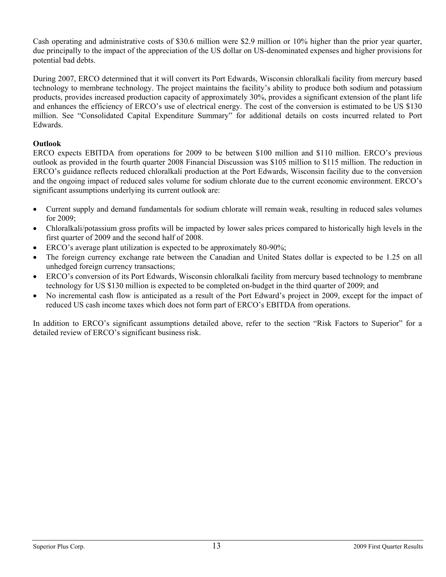Cash operating and administrative costs of \$30.6 million were \$2.9 million or 10% higher than the prior year quarter, due principally to the impact of the appreciation of the US dollar on US-denominated expenses and higher provisions for potential bad debts.

During 2007, ERCO determined that it will convert its Port Edwards, Wisconsin chloralkali facility from mercury based technology to membrane technology. The project maintains the facility's ability to produce both sodium and potassium products, provides increased production capacity of approximately 30%, provides a significant extension of the plant life and enhances the efficiency of ERCO's use of electrical energy. The cost of the conversion is estimated to be US \$130 million. See "Consolidated Capital Expenditure Summary" for additional details on costs incurred related to Port Edwards.

## **Outlook**

ERCO expects EBITDA from operations for 2009 to be between \$100 million and \$110 million. ERCO's previous outlook as provided in the fourth quarter 2008 Financial Discussion was \$105 million to \$115 million. The reduction in ERCO's guidance reflects reduced chloralkali production at the Port Edwards, Wisconsin facility due to the conversion and the ongoing impact of reduced sales volume for sodium chlorate due to the current economic environment. ERCO's significant assumptions underlying its current outlook are:

- Current supply and demand fundamentals for sodium chlorate will remain weak, resulting in reduced sales volumes for 2009;
- Chloralkali/potassium gross profits will be impacted by lower sales prices compared to historically high levels in the first quarter of 2009 and the second half of 2008.
- ERCO's average plant utilization is expected to be approximately 80-90%;
- The foreign currency exchange rate between the Canadian and United States dollar is expected to be 1.25 on all unhedged foreign currency transactions;
- ERCO's conversion of its Port Edwards, Wisconsin chloralkali facility from mercury based technology to membrane technology for US \$130 million is expected to be completed on-budget in the third quarter of 2009; and
- No incremental cash flow is anticipated as a result of the Port Edward's project in 2009, except for the impact of reduced US cash income taxes which does not form part of ERCO's EBITDA from operations.

In addition to ERCO's significant assumptions detailed above, refer to the section "Risk Factors to Superior" for a detailed review of ERCO's significant business risk.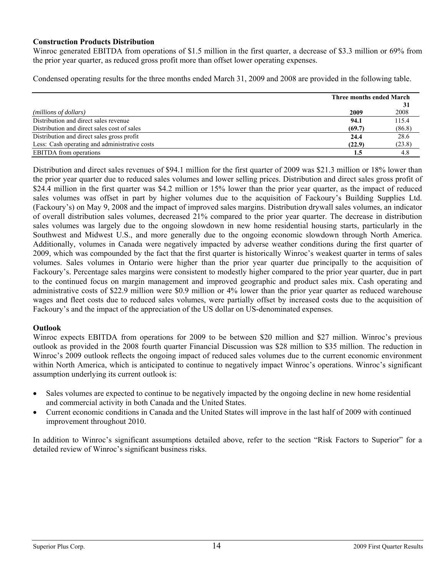### **Construction Products Distribution**

Winroc generated EBITDA from operations of \$1.5 million in the first quarter, a decrease of \$3.3 million or 69% from the prior year quarter, as reduced gross profit more than offset lower operating expenses.

Condensed operating results for the three months ended March 31, 2009 and 2008 are provided in the following table.

|                                               | <b>Three months ended March</b> |        |
|-----------------------------------------------|---------------------------------|--------|
|                                               |                                 | 31     |
| ( <i>millions of dollars</i> )                | 2009                            | 2008   |
| Distribution and direct sales revenue         | 94.1                            | 115.4  |
| Distribution and direct sales cost of sales   | (69.7)                          | (86.8) |
| Distribution and direct sales gross profit    | 24.4                            | 28.6   |
| Less: Cash operating and administrative costs | (22.9)                          | (23.8) |
| <b>EBITDA</b> from operations                 | 1.5                             | 4.8    |

Distribution and direct sales revenues of \$94.1 million for the first quarter of 2009 was \$21.3 million or 18% lower than the prior year quarter due to reduced sales volumes and lower selling prices. Distribution and direct sales gross profit of \$24.4 million in the first quarter was \$4.2 million or 15% lower than the prior year quarter, as the impact of reduced sales volumes was offset in part by higher volumes due to the acquisition of Fackoury's Building Supplies Ltd. (Fackoury's) on May 9, 2008 and the impact of improved sales margins. Distribution drywall sales volumes, an indicator of overall distribution sales volumes, decreased 21% compared to the prior year quarter. The decrease in distribution sales volumes was largely due to the ongoing slowdown in new home residential housing starts, particularly in the Southwest and Midwest U.S., and more generally due to the ongoing economic slowdown through North America. Additionally, volumes in Canada were negatively impacted by adverse weather conditions during the first quarter of 2009, which was compounded by the fact that the first quarter is historically Winroc's weakest quarter in terms of sales volumes. Sales volumes in Ontario were higher than the prior year quarter due principally to the acquisition of Fackoury's. Percentage sales margins were consistent to modestly higher compared to the prior year quarter, due in part to the continued focus on margin management and improved geographic and product sales mix. Cash operating and administrative costs of \$22.9 million were \$0.9 million or 4% lower than the prior year quarter as reduced warehouse wages and fleet costs due to reduced sales volumes, were partially offset by increased costs due to the acquisition of Fackoury's and the impact of the appreciation of the US dollar on US-denominated expenses.

#### **Outlook**

Winroc expects EBITDA from operations for 2009 to be between \$20 million and \$27 million. Winroc's previous outlook as provided in the 2008 fourth quarter Financial Discussion was \$28 million to \$35 million. The reduction in Winroc's 2009 outlook reflects the ongoing impact of reduced sales volumes due to the current economic environment within North America, which is anticipated to continue to negatively impact Winroc's operations. Winroc's significant assumption underlying its current outlook is:

- Sales volumes are expected to continue to be negatively impacted by the ongoing decline in new home residential and commercial activity in both Canada and the United States.
- Current economic conditions in Canada and the United States will improve in the last half of 2009 with continued improvement throughout 2010.

In addition to Winroc's significant assumptions detailed above, refer to the section "Risk Factors to Superior" for a detailed review of Winroc's significant business risks.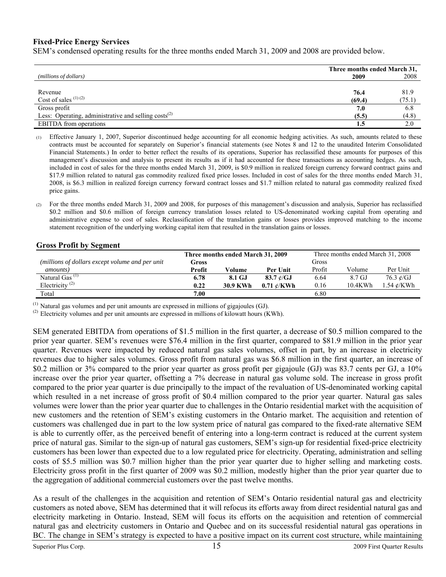#### **Fixed-Price Energy Services**

SEM's condensed operating results for the three months ended March 31, 2009 and 2008 are provided below.

|                                                           | Three months ended March 31, |        |  |  |  |
|-----------------------------------------------------------|------------------------------|--------|--|--|--|
| (millions of dollars)                                     | 2009                         | 2008   |  |  |  |
|                                                           |                              |        |  |  |  |
| Revenue                                                   | 76.4                         | 81.9   |  |  |  |
| Cost of sales $(1)(2)$                                    | (69.4)                       | (75.1) |  |  |  |
| Gross profit                                              | 7.0                          | 6.8    |  |  |  |
| Less: Operating, administrative and selling $costs^{(2)}$ | (5.5)                        | (4.8)  |  |  |  |
| <b>EBITDA</b> from operations                             |                              | 2.0    |  |  |  |

(1) Effective January 1, 2007, Superior discontinued hedge accounting for all economic hedging activities. As such, amounts related to these contracts must be accounted for separately on Superior's financial statements (see Notes 8 and 12 to the unaudited Interim Consolidated Financial Statements.) In order to better reflect the results of its operations, Superior has reclassified these amounts for purposes of this management's discussion and analysis to present its results as if it had accounted for these transactions as accounting hedges. As such, included in cost of sales for the three months ended March 31, 2009, is \$0.9 million in realized foreign currency forward contract gains and \$17.9 million related to natural gas commodity realized fixed price losses. Included in cost of sales for the three months ended March 31, 2008, is \$6.3 million in realized foreign currency forward contract losses and \$1.7 million related to natural gas commodity realized fixed price gains.

(2) For the three months ended March 31, 2009 and 2008, for purposes of this management's discussion and analysis, Superior has reclassified \$0.2 million and \$0.6 million of foreign currency translation losses related to US-denominated working capital from operating and administrative expense to cost of sales. Reclassification of the translation gains or losses provides improved matching to the income statement recognition of the underlying working capital item that resulted in the translation gains or losses.

#### **Gross Profit by Segment**

|                                                  | Three months ended March 31, 2009 |                 |                   | Three months ended March 31, 2008 |            |                     |
|--------------------------------------------------|-----------------------------------|-----------------|-------------------|-----------------------------------|------------|---------------------|
| (millions of dollars except volume and per unit) | Gross                             |                 |                   | Gross                             |            |                     |
| <i>amounts</i> )                                 | Profit                            | Volume          | Per Unit          | Profit                            | Volume     | Per Unit            |
| Natural Gas $^{(1)}$                             | 6.78                              | 8.1 GJ          | 83.7 $\ell$ /GJ   | 6.64                              | 8.7 GJ     | 76.3 $\epsilon$ /GJ |
| Electricity <sup>(2)</sup>                       | 0.22                              | <b>30.9 KWh</b> | $0.71 \notin$ KWh | 0.16                              | $10.4$ KWh | .54 ¢/KWh           |
| Total                                            | 7.00                              |                 |                   | 6.80                              |            |                     |

 $<sup>(1)</sup>$  Natural gas volumes and per unit amounts are expressed in millions of gigajoules (GJ).</sup>

 $^{(2)}$  Electricity volumes and per unit amounts are expressed in millions of kilowatt hours (KWh).

SEM generated EBITDA from operations of \$1.5 million in the first quarter, a decrease of \$0.5 million compared to the prior year quarter. SEM's revenues were \$76.4 million in the first quarter, compared to \$81.9 million in the prior year quarter. Revenues were impacted by reduced natural gas sales volumes, offset in part, by an increase in electricity revenues due to higher sales volumes. Gross profit from natural gas was \$6.8 million in the first quarter, an increase of \$0.2 million or 3% compared to the prior year quarter as gross profit per gigajoule (GJ) was 83.7 cents per GJ, a 10% increase over the prior year quarter, offsetting a 7% decrease in natural gas volume sold. The increase in gross profit compared to the prior year quarter is due principally to the impact of the revaluation of US-denominated working capital which resulted in a net increase of gross profit of \$0.4 million compared to the prior vear quarter. Natural gas sales volumes were lower than the prior year quarter due to challenges in the Ontario residential market with the acquisition of new customers and the retention of SEM's existing customers in the Ontario market. The acquisition and retention of customers was challenged due in part to the low system price of natural gas compared to the fixed-rate alternative SEM is able to currently offer, as the perceived benefit of entering into a long-term contract is reduced at the current system price of natural gas. Similar to the sign-up of natural gas customers, SEM's sign-up for residential fixed-price electricity customers has been lower than expected due to a low regulated price for electricity. Operating, administration and selling costs of \$5.5 million was \$0.7 million higher than the prior year quarter due to higher selling and marketing costs. Electricity gross profit in the first quarter of 2009 was \$0.2 million, modestly higher than the prior year quarter due to the aggregation of additional commercial customers over the past twelve months.

As a result of the challenges in the acquisition and retention of SEM's Ontario residential natural gas and electricity customers as noted above, SEM has determined that it will refocus its efforts away from direct residential natural gas and electricity marketing in Ontario. Instead, SEM will focus its efforts on the acquisition and retention of commercial natural gas and electricity customers in Ontario and Quebec and on its successful residential natural gas operations in BC. The change in SEM's strategy is expected to have a positive impact on its current cost structure, while maintaining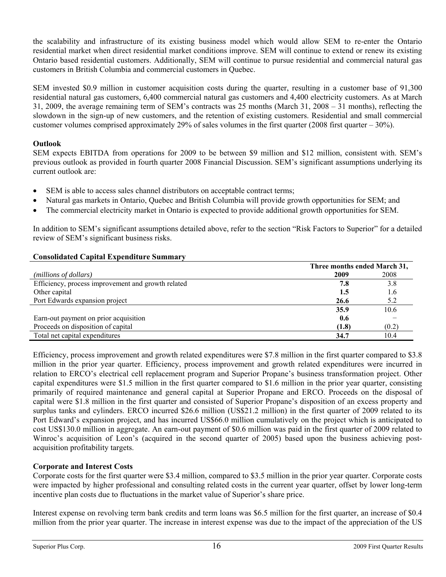the scalability and infrastructure of its existing business model which would allow SEM to re-enter the Ontario residential market when direct residential market conditions improve. SEM will continue to extend or renew its existing Ontario based residential customers. Additionally, SEM will continue to pursue residential and commercial natural gas customers in British Columbia and commercial customers in Quebec.

SEM invested \$0.9 million in customer acquisition costs during the quarter, resulting in a customer base of 91,300 residential natural gas customers, 6,400 commercial natural gas customers and 4,400 electricity customers. As at March 31, 2009, the average remaining term of SEM's contracts was 25 months (March 31, 2008 – 31 months), reflecting the slowdown in the sign-up of new customers, and the retention of existing customers. Residential and small commercial customer volumes comprised approximately 29% of sales volumes in the first quarter (2008 first quarter – 30%).

## **Outlook**

SEM expects EBITDA from operations for 2009 to be between \$9 million and \$12 million, consistent with. SEM's previous outlook as provided in fourth quarter 2008 Financial Discussion. SEM's significant assumptions underlying its current outlook are:

- SEM is able to access sales channel distributors on acceptable contract terms;
- Natural gas markets in Ontario, Quebec and British Columbia will provide growth opportunities for SEM; and
- The commercial electricity market in Ontario is expected to provide additional growth opportunities for SEM.

In addition to SEM's significant assumptions detailed above, refer to the section "Risk Factors to Superior" for a detailed review of SEM's significant business risks.

### **Consolidated Capital Expenditure Summary**

|                                                    | Three months ended March 31, |       |  |
|----------------------------------------------------|------------------------------|-------|--|
| (millions of dollars)                              | 2009                         | 2008  |  |
| Efficiency, process improvement and growth related | 7.8                          | 3.8   |  |
| Other capital                                      | 1.5                          | 1.6   |  |
| Port Edwards expansion project                     | 26.6                         | 5.2   |  |
|                                                    | 35.9                         | 10.6  |  |
| Earn-out payment on prior acquisition              | 0.6                          |       |  |
| Proceeds on disposition of capital                 | (1.8)                        | (0.2) |  |
| Total net capital expenditures                     | 34.7                         | 10.4  |  |

Efficiency, process improvement and growth related expenditures were \$7.8 million in the first quarter compared to \$3.8 million in the prior year quarter. Efficiency, process improvement and growth related expenditures were incurred in relation to ERCO's electrical cell replacement program and Superior Propane's business transformation project. Other capital expenditures were \$1.5 million in the first quarter compared to \$1.6 million in the prior year quarter, consisting primarily of required maintenance and general capital at Superior Propane and ERCO. Proceeds on the disposal of capital were \$1.8 million in the first quarter and consisted of Superior Propane's disposition of an excess property and surplus tanks and cylinders. ERCO incurred \$26.6 million (US\$21.2 million) in the first quarter of 2009 related to its Port Edward's expansion project, and has incurred US\$66.0 million cumulatively on the project which is anticipated to cost US\$130.0 million in aggregate. An earn-out payment of \$0.6 million was paid in the first quarter of 2009 related to Winroc's acquisition of Leon's (acquired in the second quarter of 2005) based upon the business achieving postacquisition profitability targets.

## **Corporate and Interest Costs**

Corporate costs for the first quarter were \$3.4 million, compared to \$3.5 million in the prior year quarter. Corporate costs were impacted by higher professional and consulting related costs in the current year quarter, offset by lower long-term incentive plan costs due to fluctuations in the market value of Superior's share price.

Interest expense on revolving term bank credits and term loans was \$6.5 million for the first quarter, an increase of \$0.4 million from the prior year quarter. The increase in interest expense was due to the impact of the appreciation of the US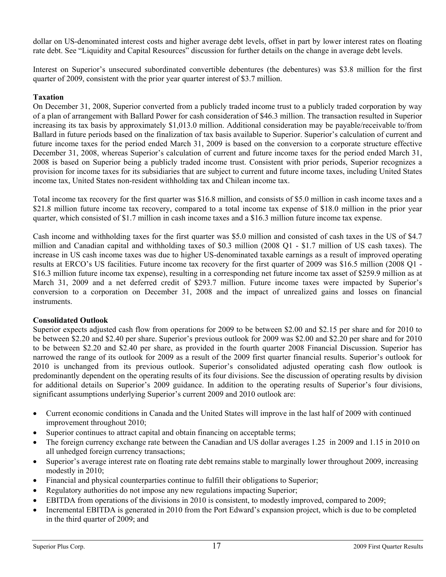dollar on US-denominated interest costs and higher average debt levels, offset in part by lower interest rates on floating rate debt. See "Liquidity and Capital Resources" discussion for further details on the change in average debt levels.

Interest on Superior's unsecured subordinated convertible debentures (the debentures) was \$3.8 million for the first quarter of 2009, consistent with the prior year quarter interest of \$3.7 million.

### **Taxation**

On December 31, 2008, Superior converted from a publicly traded income trust to a publicly traded corporation by way of a plan of arrangement with Ballard Power for cash consideration of \$46.3 million. The transaction resulted in Superior increasing its tax basis by approximately \$1,013.0 million. Additional consideration may be payable/receivable to/from Ballard in future periods based on the finalization of tax basis available to Superior. Superior's calculation of current and future income taxes for the period ended March 31, 2009 is based on the conversion to a corporate structure effective December 31, 2008, whereas Superior's calculation of current and future income taxes for the period ended March 31, 2008 is based on Superior being a publicly traded income trust. Consistent with prior periods, Superior recognizes a provision for income taxes for its subsidiaries that are subject to current and future income taxes, including United States income tax, United States non-resident withholding tax and Chilean income tax.

Total income tax recovery for the first quarter was \$16.8 million, and consists of \$5.0 million in cash income taxes and a \$21.8 million future income tax recovery, compared to a total income tax expense of \$18.0 million in the prior year quarter, which consisted of \$1.7 million in cash income taxes and a \$16.3 million future income tax expense.

Cash income and withholding taxes for the first quarter was \$5.0 million and consisted of cash taxes in the US of \$4.7 million and Canadian capital and withholding taxes of \$0.3 million (2008 Q1 - \$1.7 million of US cash taxes). The increase in US cash income taxes was due to higher US-denominated taxable earnings as a result of improved operating results at ERCO's US facilities. Future income tax recovery for the first quarter of 2009 was \$16.5 million (2008 Q1 - \$16.3 million future income tax expense), resulting in a corresponding net future income tax asset of \$259.9 million as at March 31, 2009 and a net deferred credit of \$293.7 million. Future income taxes were impacted by Superior's conversion to a corporation on December 31, 2008 and the impact of unrealized gains and losses on financial **instruments** 

### **Consolidated Outlook**

Superior expects adjusted cash flow from operations for 2009 to be between \$2.00 and \$2.15 per share and for 2010 to be between \$2.20 and \$2.40 per share. Superior's previous outlook for 2009 was \$2.00 and \$2.20 per share and for 2010 to be between \$2.20 and \$2.40 per share, as provided in the fourth quarter 2008 Financial Discussion. Superior has narrowed the range of its outlook for 2009 as a result of the 2009 first quarter financial results. Superior's outlook for 2010 is unchanged from its previous outlook. Superior's consolidated adjusted operating cash flow outlook is predominantly dependent on the operating results of its four divisions. See the discussion of operating results by division for additional details on Superior's 2009 guidance. In addition to the operating results of Superior's four divisions, significant assumptions underlying Superior's current 2009 and 2010 outlook are:

- Current economic conditions in Canada and the United States will improve in the last half of 2009 with continued improvement throughout 2010;
- Superior continues to attract capital and obtain financing on acceptable terms;
- The foreign currency exchange rate between the Canadian and US dollar averages 1.25 in 2009 and 1.15 in 2010 on all unhedged foreign currency transactions;
- Superior's average interest rate on floating rate debt remains stable to marginally lower throughout 2009, increasing modestly in 2010;
- Financial and physical counterparties continue to fulfill their obligations to Superior;
- Regulatory authorities do not impose any new regulations impacting Superior;
- EBITDA from operations of the divisions in 2010 is consistent, to modestly improved, compared to 2009;
- Incremental EBITDA is generated in 2010 from the Port Edward's expansion project, which is due to be completed in the third quarter of 2009; and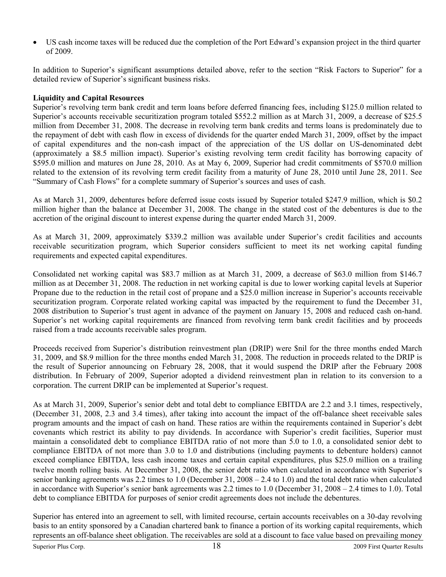• US cash income taxes will be reduced due the completion of the Port Edward's expansion project in the third quarter of 2009.

In addition to Superior's significant assumptions detailed above, refer to the section "Risk Factors to Superior" for a detailed review of Superior's significant business risks.

### **Liquidity and Capital Resources**

Superior's revolving term bank credit and term loans before deferred financing fees, including \$125.0 million related to Superior's accounts receivable securitization program totaled \$552.2 million as at March 31, 2009, a decrease of \$25.5 million from December 31, 2008. The decrease in revolving term bank credits and terms loans is predominately due to the repayment of debt with cash flow in excess of dividends for the quarter ended March 31, 2009, offset by the impact of capital expenditures and the non-cash impact of the appreciation of the US dollar on US-denominated debt (approximately a \$8.5 million impact). Superior's existing revolving term credit facility has borrowing capacity of \$595.0 million and matures on June 28, 2010. As at May 6, 2009, Superior had credit commitments of \$570.0 million related to the extension of its revolving term credit facility from a maturity of June 28, 2010 until June 28, 2011. See "Summary of Cash Flows" for a complete summary of Superior's sources and uses of cash.

As at March 31, 2009, debentures before deferred issue costs issued by Superior totaled \$247.9 million, which is \$0.2 million higher than the balance at December 31, 2008. The change in the stated cost of the debentures is due to the accretion of the original discount to interest expense during the quarter ended March 31, 2009.

As at March 31, 2009, approximately \$339.2 million was available under Superior's credit facilities and accounts receivable securitization program, which Superior considers sufficient to meet its net working capital funding requirements and expected capital expenditures.

Consolidated net working capital was \$83.7 million as at March 31, 2009, a decrease of \$63.0 million from \$146.7 million as at December 31, 2008. The reduction in net working capital is due to lower working capital levels at Superior Propane due to the reduction in the retail cost of propane and a \$25.0 million increase in Superior's accounts receivable securitization program. Corporate related working capital was impacted by the requirement to fund the December 31, 2008 distribution to Superior's trust agent in advance of the payment on January 15, 2008 and reduced cash on-hand. Superior's net working capital requirements are financed from revolving term bank credit facilities and by proceeds raised from a trade accounts receivable sales program.

Proceeds received from Superior's distribution reinvestment plan (DRIP) were \$nil for the three months ended March 31, 2009, and \$8.9 million for the three months ended March 31, 2008. The reduction in proceeds related to the DRIP is the result of Superior announcing on February 28, 2008, that it would suspend the DRIP after the February 2008 distribution. In February of 2009, Superior adopted a dividend reinvestment plan in relation to its conversion to a corporation. The current DRIP can be implemented at Superior's request.

As at March 31, 2009, Superior's senior debt and total debt to compliance EBITDA are 2.2 and 3.1 times, respectively, (December 31, 2008, 2.3 and 3.4 times), after taking into account the impact of the off-balance sheet receivable sales program amounts and the impact of cash on hand. These ratios are within the requirements contained in Superior's debt covenants which restrict its ability to pay dividends. In accordance with Superior's credit facilities, Superior must maintain a consolidated debt to compliance EBITDA ratio of not more than 5.0 to 1.0, a consolidated senior debt to compliance EBITDA of not more than 3.0 to 1.0 and distributions (including payments to debenture holders) cannot exceed compliance EBITDA, less cash income taxes and certain capital expenditures, plus \$25.0 million on a trailing twelve month rolling basis. At December 31, 2008, the senior debt ratio when calculated in accordance with Superior's senior banking agreements was 2.2 times to 1.0 (December 31,  $2008 - 2.4$  to 1.0) and the total debt ratio when calculated in accordance with Superior's senior bank agreements was 2.2 times to 1.0 (December 31, 2008 – 2.4 times to 1.0). Total debt to compliance EBITDA for purposes of senior credit agreements does not include the debentures.

Superior has entered into an agreement to sell, with limited recourse, certain accounts receivables on a 30-day revolving basis to an entity sponsored by a Canadian chartered bank to finance a portion of its working capital requirements, which represents an off-balance sheet obligation. The receivables are sold at a discount to face value based on prevailing money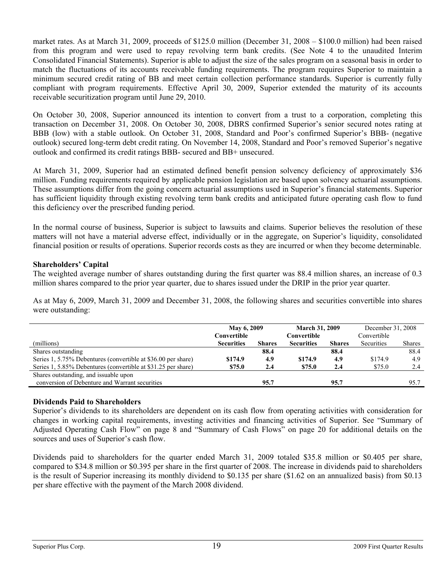market rates. As at March 31, 2009, proceeds of \$125.0 million (December 31, 2008 – \$100.0 million) had been raised from this program and were used to repay revolving term bank credits. (See Note 4 to the unaudited Interim Consolidated Financial Statements). Superior is able to adjust the size of the sales program on a seasonal basis in order to match the fluctuations of its accounts receivable funding requirements. The program requires Superior to maintain a minimum secured credit rating of BB and meet certain collection performance standards. Superior is currently fully compliant with program requirements. Effective April 30, 2009, Superior extended the maturity of its accounts receivable securitization program until June 29, 2010.

On October 30, 2008, Superior announced its intention to convert from a trust to a corporation, completing this transaction on December 31, 2008. On October 30, 2008, DBRS confirmed Superior's senior secured notes rating at BBB (low) with a stable outlook. On October 31, 2008, Standard and Poor's confirmed Superior's BBB- (negative outlook) secured long-term debt credit rating. On November 14, 2008, Standard and Poor's removed Superior's negative outlook and confirmed its credit ratings BBB- secured and BB+ unsecured.

At March 31, 2009, Superior had an estimated defined benefit pension solvency deficiency of approximately \$36 million. Funding requirements required by applicable pension legislation are based upon solvency actuarial assumptions. These assumptions differ from the going concern actuarial assumptions used in Superior's financial statements. Superior has sufficient liquidity through existing revolving term bank credits and anticipated future operating cash flow to fund this deficiency over the prescribed funding period.

In the normal course of business, Superior is subject to lawsuits and claims. Superior believes the resolution of these matters will not have a material adverse effect, individually or in the aggregate, on Superior's liquidity, consolidated financial position or results of operations. Superior records costs as they are incurred or when they become determinable.

### **Shareholders' Capital**

The weighted average number of shares outstanding during the first quarter was 88.4 million shares, an increase of 0.3 million shares compared to the prior year quarter, due to shares issued under the DRIP in the prior year quarter.

As at May 6, 2009, March 31, 2009 and December 31, 2008, the following shares and securities convertible into shares were outstanding:

|                                                               | <b>May 6, 2009</b> |               | <b>March 31, 2009</b> |               | December 31, 2008 |               |  |
|---------------------------------------------------------------|--------------------|---------------|-----------------------|---------------|-------------------|---------------|--|
|                                                               | Convertible        | Convertible   |                       | Convertible   |                   |               |  |
| (millions)                                                    | <b>Securities</b>  | <b>Shares</b> | <b>Securities</b>     | <b>Shares</b> | Securities        | <b>Shares</b> |  |
| Shares outstanding                                            |                    | 88.4          |                       | 88.4          |                   | 88.4          |  |
| Series 1, 5.75% Debentures (convertible at \$36.00 per share) | \$174.9            | 4.9           | \$174.9               | 4.9           | \$174.9           | 4.9           |  |
| Series 1, 5.85% Debentures (convertible at \$31.25 per share) | \$75.0             | 2.4           | \$75.0                | 2.4           | \$75.0            | 2.4           |  |
| Shares outstanding, and issuable upon                         |                    |               |                       |               |                   |               |  |
| conversion of Debenture and Warrant securities                |                    | 95.7          |                       | 95.7          |                   | 95.7          |  |

### **Dividends Paid to Shareholders**

Superior's dividends to its shareholders are dependent on its cash flow from operating activities with consideration for changes in working capital requirements, investing activities and financing activities of Superior. See "Summary of Adjusted Operating Cash Flow" on page 8 and "Summary of Cash Flows" on page 20 for additional details on the sources and uses of Superior's cash flow.

Dividends paid to shareholders for the quarter ended March 31, 2009 totaled \$35.8 million or \$0.405 per share, compared to \$34.8 million or \$0.395 per share in the first quarter of 2008. The increase in dividends paid to shareholders is the result of Superior increasing its monthly dividend to \$0.135 per share (\$1.62 on an annualized basis) from \$0.13 per share effective with the payment of the March 2008 dividend.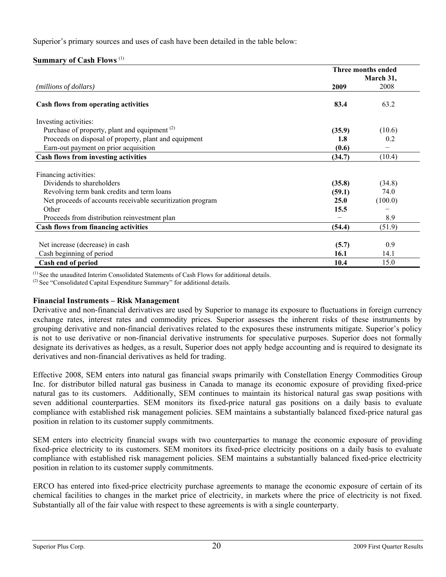Superior's primary sources and uses of cash have been detailed in the table below:

### **Summary of Cash Flows** (1)

|                                                            |        | Three months ended<br>March 31, |
|------------------------------------------------------------|--------|---------------------------------|
| (millions of dollars)                                      | 2009   | 2008                            |
| Cash flows from operating activities                       | 83.4   | 63.2                            |
| Investing activities:                                      |        |                                 |
| Purchase of property, plant and equipment <sup>(2)</sup>   | (35.9) | (10.6)                          |
| Proceeds on disposal of property, plant and equipment      | 1.8    | 0.2                             |
| Earn-out payment on prior acquisition                      | (0.6)  | -                               |
| Cash flows from investing activities                       | (34.7) | (10.4)                          |
| Financing activities:                                      |        |                                 |
| Dividends to shareholders                                  | (35.8) | (34.8)                          |
| Revolving term bank credits and term loans                 | (59.1) | 74.0                            |
| Net proceeds of accounts receivable securitization program | 25.0   | (100.0)                         |
| Other                                                      | 15.5   |                                 |
| Proceeds from distribution reinvestment plan               |        | 8.9                             |
| Cash flows from financing activities                       | (54.4) | (51.9)                          |
| Net increase (decrease) in cash                            | (5.7)  | 0.9                             |
| Cash beginning of period                                   | 16.1   | 14.1                            |
| Cash end of period                                         | 10.4   | 15.0                            |

(1) See the unaudited Interim Consolidated Statements of Cash Flows for additional details.

 $^{(2)}$  See "Consolidated Capital Expenditure Summary" for additional details.

### **Financial Instruments – Risk Management**

Derivative and non-financial derivatives are used by Superior to manage its exposure to fluctuations in foreign currency exchange rates, interest rates and commodity prices. Superior assesses the inherent risks of these instruments by grouping derivative and non-financial derivatives related to the exposures these instruments mitigate. Superior's policy is not to use derivative or non-financial derivative instruments for speculative purposes. Superior does not formally designate its derivatives as hedges, as a result, Superior does not apply hedge accounting and is required to designate its derivatives and non-financial derivatives as held for trading.

Effective 2008, SEM enters into natural gas financial swaps primarily with Constellation Energy Commodities Group Inc. for distributor billed natural gas business in Canada to manage its economic exposure of providing fixed-price natural gas to its customers. Additionally, SEM continues to maintain its historical natural gas swap positions with seven additional counterparties. SEM monitors its fixed-price natural gas positions on a daily basis to evaluate compliance with established risk management policies. SEM maintains a substantially balanced fixed-price natural gas position in relation to its customer supply commitments.

SEM enters into electricity financial swaps with two counterparties to manage the economic exposure of providing fixed-price electricity to its customers. SEM monitors its fixed-price electricity positions on a daily basis to evaluate compliance with established risk management policies. SEM maintains a substantially balanced fixed-price electricity position in relation to its customer supply commitments.

ERCO has entered into fixed-price electricity purchase agreements to manage the economic exposure of certain of its chemical facilities to changes in the market price of electricity, in markets where the price of electricity is not fixed. Substantially all of the fair value with respect to these agreements is with a single counterparty.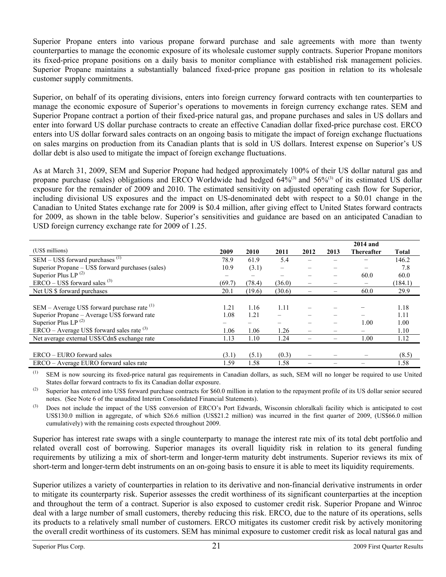Superior Propane enters into various propane forward purchase and sale agreements with more than twenty counterparties to manage the economic exposure of its wholesale customer supply contracts. Superior Propane monitors its fixed-price propane positions on a daily basis to monitor compliance with established risk management policies. Superior Propane maintains a substantially balanced fixed-price propane gas position in relation to its wholesale customer supply commitments.

Superior, on behalf of its operating divisions, enters into foreign currency forward contracts with ten counterparties to manage the economic exposure of Superior's operations to movements in foreign currency exchange rates. SEM and Superior Propane contract a portion of their fixed-price natural gas, and propane purchases and sales in US dollars and enter into forward US dollar purchase contracts to create an effective Canadian dollar fixed-price purchase cost. ERCO enters into US dollar forward sales contracts on an ongoing basis to mitigate the impact of foreign exchange fluctuations on sales margins on production from its Canadian plants that is sold in US dollars. Interest expense on Superior's US dollar debt is also used to mitigate the impact of foreign exchange fluctuations.

As at March 31, 2009, SEM and Superior Propane had hedged approximately 100% of their US dollar natural gas and propane purchase (sales) obligations and ERCO Worldwide had hedged 64%<sup>(3)</sup> and 56%<sup>(3)</sup> of its estimated US dollar exposure for the remainder of 2009 and 2010. The estimated sensitivity on adjusted operating cash flow for Superior, including divisional US exposures and the impact on US-denominated debt with respect to a \$0.01 change in the Canadian to United States exchange rate for 2009 is \$0.4 million, after giving effect to United States forward contracts for 2009, as shown in the table below. Superior's sensitivities and guidance are based on an anticipated Canadian to USD foreign currency exchange rate for 2009 of 1.25.

|                                                   |                          |        |        |                          |                          | $2014$ and        |         |
|---------------------------------------------------|--------------------------|--------|--------|--------------------------|--------------------------|-------------------|---------|
| (US\$ millions)                                   | 2009                     | 2010   | 2011   | 2012                     | 2013                     | <b>Thereafter</b> | Total   |
| $SEM$ – US\$ forward purchases <sup>(1)</sup>     | 78.9                     | 61.9   | 5.4    |                          |                          |                   | 146.2   |
| Superior Propane – US\$ forward purchases (sales) | 10.9                     | (3.1)  | -      |                          |                          |                   | 7.8     |
| Superior Plus LP <sup>(2)</sup>                   | $\overline{\phantom{0}}$ |        | —      | $\overline{\phantom{0}}$ | $\overline{\phantom{0}}$ | 60.0              | 60.0    |
| $ERCO - USS$ forward sales $^{(3)}$               | (69.7)                   | (78.4) | (36.0) |                          |                          |                   | (184.1) |
| Net US \$ forward purchases                       | 20.1                     | (19.6) | (30.6) |                          |                          | 60.0              | 29.9    |
|                                                   |                          |        |        |                          |                          |                   |         |
| SEM – Average US\$ forward purchase rate $(1)$    | 1.21                     | 1.16   | 1.11   |                          |                          |                   | 1.18    |
| Superior Propane – Average US\$ forward rate      | 1.08                     | 1.21   |        |                          |                          |                   | 1.11    |
| Superior Plus LP <sup>(2)</sup>                   |                          |        |        | $\overline{\phantom{0}}$ |                          | 1.00              | 1.00    |
| $ERCO - Average US$$ forward sales rate $(3)$     | 1.06                     | 1.06   | 1.26   | $\overline{\phantom{0}}$ |                          |                   | 1.10    |
| Net average external US\$/Cdn\$ exchange rate     | 1.13                     | 1.10   | 1.24   |                          |                          | 1.00              | 1.12    |
|                                                   |                          |        |        |                          |                          |                   |         |
| ERCO – EURO forward sales                         | (3.1)                    | (5.1)  | (0.3)  |                          |                          |                   | (8.5)   |
| ERCO – Average EURO forward sales rate            | 1.59                     | 1.58   | 1.58   | —                        |                          |                   | 1.58    |

(1) SEM is now sourcing its fixed-price natural gas requirements in Canadian dollars, as such, SEM will no longer be required to use United States dollar forward contracts to fix its Canadian dollar exposure.

<sup>(2)</sup> Superior has entered into US\$ forward purchase contracts for \$60.0 million in relation to the repayment profile of its US dollar senior secured notes. (See Note 6 of the unaudited Interim Consolidated Financial Statements).

(3) Does not include the impact of the US\$ conversion of ERCO's Port Edwards, Wisconsin chloralkali facility which is anticipated to cost US\$130.0 million in aggregate, of which \$26.6 million (US\$21.2 million) was incurred in the first quarter of 2009, (US\$66.0 million cumulatively) with the remaining costs expected throughout 2009.

Superior has interest rate swaps with a single counterparty to manage the interest rate mix of its total debt portfolio and related overall cost of borrowing. Superior manages its overall liquidity risk in relation to its general funding requirements by utilizing a mix of short-term and longer-term maturity debt instruments. Superior reviews its mix of short-term and longer-term debt instruments on an on-going basis to ensure it is able to meet its liquidity requirements.

Superior utilizes a variety of counterparties in relation to its derivative and non-financial derivative instruments in order to mitigate its counterparty risk. Superior assesses the credit worthiness of its significant counterparties at the inception and throughout the term of a contract. Superior is also exposed to customer credit risk. Superior Propane and Winroc deal with a large number of small customers, thereby reducing this risk. ERCO, due to the nature of its operations, sells its products to a relatively small number of customers. ERCO mitigates its customer credit risk by actively monitoring the overall credit worthiness of its customers. SEM has minimal exposure to customer credit risk as local natural gas and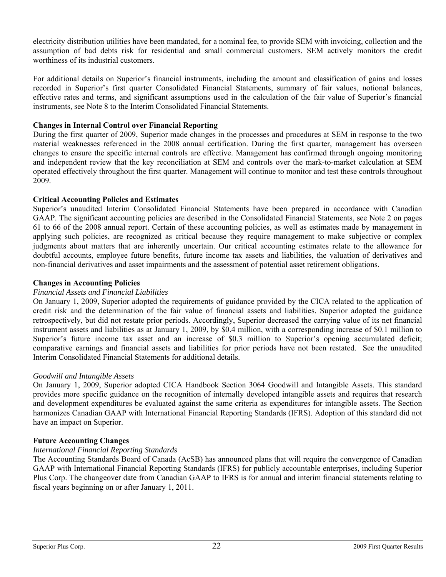electricity distribution utilities have been mandated, for a nominal fee, to provide SEM with invoicing, collection and the assumption of bad debts risk for residential and small commercial customers. SEM actively monitors the credit worthiness of its industrial customers.

For additional details on Superior's financial instruments, including the amount and classification of gains and losses recorded in Superior's first quarter Consolidated Financial Statements, summary of fair values, notional balances, effective rates and terms, and significant assumptions used in the calculation of the fair value of Superior's financial instruments, see Note 8 to the Interim Consolidated Financial Statements.

### **Changes in Internal Control over Financial Reporting**

During the first quarter of 2009, Superior made changes in the processes and procedures at SEM in response to the two material weaknesses referenced in the 2008 annual certification. During the first quarter, management has overseen changes to ensure the specific internal controls are effective. Management has confirmed through ongoing monitoring and independent review that the key reconciliation at SEM and controls over the mark-to-market calculation at SEM operated effectively throughout the first quarter. Management will continue to monitor and test these controls throughout 2009.

### **Critical Accounting Policies and Estimates**

Superior's unaudited Interim Consolidated Financial Statements have been prepared in accordance with Canadian GAAP. The significant accounting policies are described in the Consolidated Financial Statements, see Note 2 on pages 61 to 66 of the 2008 annual report. Certain of these accounting policies, as well as estimates made by management in applying such policies, are recognized as critical because they require management to make subjective or complex judgments about matters that are inherently uncertain. Our critical accounting estimates relate to the allowance for doubtful accounts, employee future benefits, future income tax assets and liabilities, the valuation of derivatives and non-financial derivatives and asset impairments and the assessment of potential asset retirement obligations.

### **Changes in Accounting Policies**

### *Financial Assets and Financial Liabilities*

On January 1, 2009, Superior adopted the requirements of guidance provided by the CICA related to the application of credit risk and the determination of the fair value of financial assets and liabilities. Superior adopted the guidance retrospectively, but did not restate prior periods. Accordingly, Superior decreased the carrying value of its net financial instrument assets and liabilities as at January 1, 2009, by \$0.4 million, with a corresponding increase of \$0.1 million to Superior's future income tax asset and an increase of \$0.3 million to Superior's opening accumulated deficit; comparative earnings and financial assets and liabilities for prior periods have not been restated. See the unaudited Interim Consolidated Financial Statements for additional details.

### *Goodwill and Intangible Assets*

On January 1, 2009, Superior adopted CICA Handbook Section 3064 Goodwill and Intangible Assets. This standard provides more specific guidance on the recognition of internally developed intangible assets and requires that research and development expenditures be evaluated against the same criteria as expenditures for intangible assets. The Section harmonizes Canadian GAAP with International Financial Reporting Standards (IFRS). Adoption of this standard did not have an impact on Superior.

## **Future Accounting Changes**

### *International Financial Reporting Standards*

The Accounting Standards Board of Canada (AcSB) has announced plans that will require the convergence of Canadian GAAP with International Financial Reporting Standards (IFRS) for publicly accountable enterprises, including Superior Plus Corp. The changeover date from Canadian GAAP to IFRS is for annual and interim financial statements relating to fiscal years beginning on or after January 1, 2011.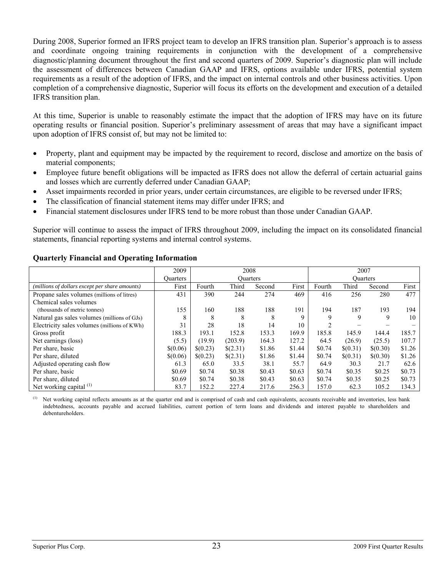During 2008, Superior formed an IFRS project team to develop an IFRS transition plan. Superior's approach is to assess and coordinate ongoing training requirements in conjunction with the development of a comprehensive diagnostic/planning document throughout the first and second quarters of 2009. Superior's diagnostic plan will include the assessment of differences between Canadian GAAP and IFRS, options available under IFRS, potential system requirements as a result of the adoption of IFRS, and the impact on internal controls and other business activities. Upon completion of a comprehensive diagnostic, Superior will focus its efforts on the development and execution of a detailed IFRS transition plan.

At this time, Superior is unable to reasonably estimate the impact that the adoption of IFRS may have on its future operating results or financial position. Superior's preliminary assessment of areas that may have a significant impact upon adoption of IFRS consist of, but may not be limited to:

- Property, plant and equipment may be impacted by the requirement to record, disclose and amortize on the basis of material components;
- Employee future benefit obligations will be impacted as IFRS does not allow the deferral of certain actuarial gains and losses which are currently deferred under Canadian GAAP;
- Asset impairments recorded in prior years, under certain circumstances, are eligible to be reversed under IFRS;
- The classification of financial statement items may differ under IFRS; and
- Financial statement disclosures under IFRS tend to be more robust than those under Canadian GAAP.

Superior will continue to assess the impact of IFRS throughout 2009, including the impact on its consolidated financial statements, financial reporting systems and internal control systems.

|                                                | 2009                                                  | 2008     |          |        | 2007   |        |          |          |        |
|------------------------------------------------|-------------------------------------------------------|----------|----------|--------|--------|--------|----------|----------|--------|
|                                                | <b>Ouarters</b><br><b>Ouarters</b><br><b>Ouarters</b> |          |          |        |        |        |          |          |        |
| (millions of dollars except per share amounts) | First                                                 | Fourth   | Third    | Second | First  | Fourth | Third    | Second   | First  |
| Propane sales volumes (millions of litres)     | 431                                                   | 390      | 244      | 274    | 469    | 416    | 256      | 280      | 477    |
| Chemical sales volumes                         |                                                       |          |          |        |        |        |          |          |        |
| (thousands of metric tonnes)                   | 155                                                   | 160      | 188      | 188    | 191    | 194    | 187      | 193      | 194    |
| Natural gas sales volumes (millions of GJs)    | 8                                                     | 8        | 8        | 8      | 9      | 9      | 9        | 9        | 10     |
| Electricity sales volumes (millions of KWh)    | 31                                                    | 28       | 18       | 14     | 10     |        |          |          |        |
| Gross profit                                   | 188.3                                                 | 193.1    | 152.8    | 153.3  | 169.9  | 185.8  | 145.9    | 144.4    | 185.7  |
| Net earnings (loss)                            | (5.5)                                                 | (19.9)   | (203.9)  | 164.3  | 127.2  | 64.5   | (26.9)   | (25.5)   | 107.7  |
| Per share, basic                               | \$(0.06)                                              | \$(0.23) | \$(2.31) | \$1.86 | \$1.44 | \$0.74 | \$(0.31) | \$(0.30) | \$1.26 |
| Per share, diluted                             | \$(0.06)                                              | \$(0.23) | \$(2.31) | \$1.86 | \$1.44 | \$0.74 | \$(0.31) | \$(0.30) | \$1.26 |
| Adjusted operating cash flow                   | 61.3                                                  | 65.0     | 33.5     | 38.1   | 55.7   | 64.9   | 30.3     | 21.7     | 62.6   |
| Per share, basic                               | \$0.69                                                | \$0.74   | \$0.38   | \$0.43 | \$0.63 | \$0.74 | \$0.35   | \$0.25   | \$0.73 |
| Per share, diluted                             | \$0.69                                                | \$0.74   | \$0.38   | \$0.43 | \$0.63 | \$0.74 | \$0.35   | \$0.25   | \$0.73 |
| Net working capital $(1)$                      | 83.7                                                  | 152.2    | 227.4    | 217.6  | 256.3  | 157.0  | 62.3     | 105.2    | 134.3  |

### **Quarterly Financial and Operating Information**

Net working capital reflects amounts as at the quarter end and is comprised of cash and cash equivalents, accounts receivable and inventories, less bank indebtedness, accounts payable and accrued liabilities, current portion of term loans and dividends and interest payable to shareholders and debentureholders.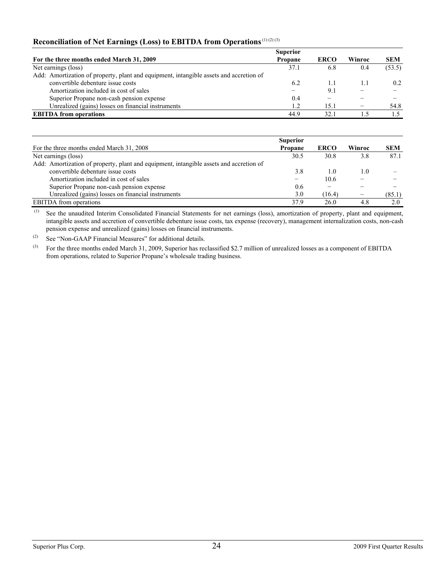### **Reconciliation of Net Earnings (Loss) to EBITDA from Operations** (1) (2) (3)

|                                                                                        | <b>Superior</b> |             |        |            |
|----------------------------------------------------------------------------------------|-----------------|-------------|--------|------------|
| For the three months ended March 31, 2009                                              | Propane         | <b>ERCO</b> | Winroc | <b>SEM</b> |
| Net earnings (loss)                                                                    | 37.1            | 6.8         | 0.4    | (53.5)     |
| Add: Amortization of property, plant and equipment, intangible assets and accretion of |                 |             |        |            |
| convertible debenture issue costs                                                      | 6.2             | 1.1         |        | 0.2        |
| Amortization included in cost of sales                                                 |                 | 9.1         |        |            |
| Superior Propane non-cash pension expense                                              | 0.4             |             |        |            |
| Unrealized (gains) losses on financial instruments                                     | 1.2             | 15.1        |        | 54.8       |
| <b>EBITDA</b> from operations                                                          | 44.9            | 32.1        |        |            |

|                                                                                        | <b>Superior</b> |             |        |            |
|----------------------------------------------------------------------------------------|-----------------|-------------|--------|------------|
| For the three months ended March 31, 2008                                              | <b>Propane</b>  | <b>ERCO</b> | Winroc | <b>SEM</b> |
| Net earnings (loss)                                                                    | 30.5            | 30.8        | 3.8    | 87.1       |
| Add: Amortization of property, plant and equipment, intangible assets and accretion of |                 |             |        |            |
| convertible debenture issue costs                                                      | 3.8             | 1.0         | 1.0    |            |
| Amortization included in cost of sales                                                 |                 | 10.6        |        |            |
| Superior Propane non-cash pension expense                                              | 0.6             |             |        |            |
| Unrealized (gains) losses on financial instruments                                     | 3.0             | (16.4)      |        | (85.1)     |
| <b>EBITDA</b> from operations                                                          | 37.9            | 26.0        | 4.8    | 2.0        |

 (1) See the unaudited Interim Consolidated Financial Statements for net earnings (loss), amortization of property, plant and equipment, intangible assets and accretion of convertible debenture issue costs, tax expense (recovery), management internalization costs, non-cash pension expense and unrealized (gains) losses on financial instruments.

(2) See "Non-GAAP Financial Measures" for additional details.

(3) For the three months ended March 31, 2009, Superior has reclassified \$2.7 million of unrealized losses as a component of EBITDA from operations, related to Superior Propane's wholesale trading business.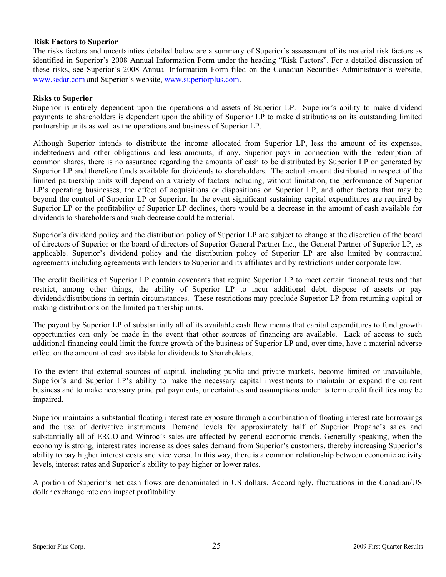### **Risk Factors to Superior**

The risks factors and uncertainties detailed below are a summary of Superior's assessment of its material risk factors as identified in Superior's 2008 Annual Information Form under the heading "Risk Factors". For a detailed discussion of these risks, see Superior's 2008 Annual Information Form filed on the Canadian Securities Administrator's website, [www.sedar.com](http://www.sedar.com/) and Superior's website, [www.superiorplus.com](http://www.superiorplus.com/).

### **Risks to Superior**

Superior is entirely dependent upon the operations and assets of Superior LP. Superior's ability to make dividend payments to shareholders is dependent upon the ability of Superior LP to make distributions on its outstanding limited partnership units as well as the operations and business of Superior LP.

Although Superior intends to distribute the income allocated from Superior LP, less the amount of its expenses, indebtedness and other obligations and less amounts, if any, Superior pays in connection with the redemption of common shares, there is no assurance regarding the amounts of cash to be distributed by Superior LP or generated by Superior LP and therefore funds available for dividends to shareholders. The actual amount distributed in respect of the limited partnership units will depend on a variety of factors including, without limitation, the performance of Superior LP's operating businesses, the effect of acquisitions or dispositions on Superior LP, and other factors that may be beyond the control of Superior LP or Superior. In the event significant sustaining capital expenditures are required by Superior LP or the profitability of Superior LP declines, there would be a decrease in the amount of cash available for dividends to shareholders and such decrease could be material.

Superior's dividend policy and the distribution policy of Superior LP are subject to change at the discretion of the board of directors of Superior or the board of directors of Superior General Partner Inc., the General Partner of Superior LP, as applicable. Superior's dividend policy and the distribution policy of Superior LP are also limited by contractual agreements including agreements with lenders to Superior and its affiliates and by restrictions under corporate law.

The credit facilities of Superior LP contain covenants that require Superior LP to meet certain financial tests and that restrict, among other things, the ability of Superior LP to incur additional debt, dispose of assets or pay dividends/distributions in certain circumstances. These restrictions may preclude Superior LP from returning capital or making distributions on the limited partnership units.

The payout by Superior LP of substantially all of its available cash flow means that capital expenditures to fund growth opportunities can only be made in the event that other sources of financing are available. Lack of access to such additional financing could limit the future growth of the business of Superior LP and, over time, have a material adverse effect on the amount of cash available for dividends to Shareholders.

To the extent that external sources of capital, including public and private markets, become limited or unavailable, Superior's and Superior LP's ability to make the necessary capital investments to maintain or expand the current business and to make necessary principal payments, uncertainties and assumptions under its term credit facilities may be impaired.

Superior maintains a substantial floating interest rate exposure through a combination of floating interest rate borrowings and the use of derivative instruments. Demand levels for approximately half of Superior Propane's sales and substantially all of ERCO and Winroc's sales are affected by general economic trends. Generally speaking, when the economy is strong, interest rates increase as does sales demand from Superior's customers, thereby increasing Superior's ability to pay higher interest costs and vice versa. In this way, there is a common relationship between economic activity levels, interest rates and Superior's ability to pay higher or lower rates.

A portion of Superior's net cash flows are denominated in US dollars. Accordingly, fluctuations in the Canadian/US dollar exchange rate can impact profitability.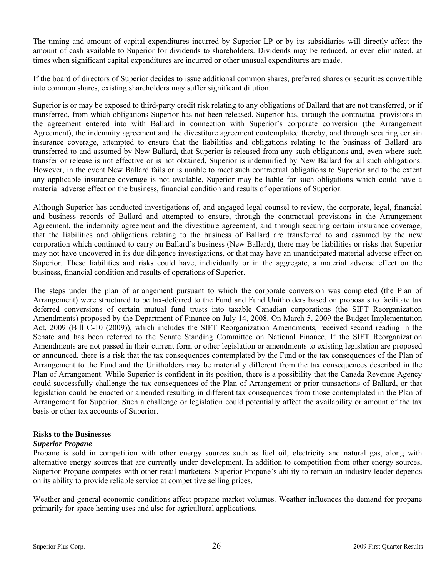The timing and amount of capital expenditures incurred by Superior LP or by its subsidiaries will directly affect the amount of cash available to Superior for dividends to shareholders. Dividends may be reduced, or even eliminated, at times when significant capital expenditures are incurred or other unusual expenditures are made.

If the board of directors of Superior decides to issue additional common shares, preferred shares or securities convertible into common shares, existing shareholders may suffer significant dilution.

Superior is or may be exposed to third-party credit risk relating to any obligations of Ballard that are not transferred, or if transferred, from which obligations Superior has not been released. Superior has, through the contractual provisions in the agreement entered into with Ballard in connection with Superior's corporate conversion (the Arrangement Agreement), the indemnity agreement and the divestiture agreement contemplated thereby, and through securing certain insurance coverage, attempted to ensure that the liabilities and obligations relating to the business of Ballard are transferred to and assumed by New Ballard, that Superior is released from any such obligations and, even where such transfer or release is not effective or is not obtained, Superior is indemnified by New Ballard for all such obligations. However, in the event New Ballard fails or is unable to meet such contractual obligations to Superior and to the extent any applicable insurance coverage is not available, Superior may be liable for such obligations which could have a material adverse effect on the business, financial condition and results of operations of Superior.

Although Superior has conducted investigations of, and engaged legal counsel to review, the corporate, legal, financial and business records of Ballard and attempted to ensure, through the contractual provisions in the Arrangement Agreement, the indemnity agreement and the divestiture agreement, and through securing certain insurance coverage, that the liabilities and obligations relating to the business of Ballard are transferred to and assumed by the new corporation which continued to carry on Ballard's business (New Ballard), there may be liabilities or risks that Superior may not have uncovered in its due diligence investigations, or that may have an unanticipated material adverse effect on Superior. These liabilities and risks could have, individually or in the aggregate, a material adverse effect on the business, financial condition and results of operations of Superior.

The steps under the plan of arrangement pursuant to which the corporate conversion was completed (the Plan of Arrangement) were structured to be tax-deferred to the Fund and Fund Unitholders based on proposals to facilitate tax deferred conversions of certain mutual fund trusts into taxable Canadian corporations (the SIFT Reorganization Amendments) proposed by the Department of Finance on July 14, 2008. On March 5, 2009 the Budget Implementation Act, 2009 (Bill C-10 (2009)), which includes the SIFT Reorganization Amendments, received second reading in the Senate and has been referred to the Senate Standing Committee on National Finance. If the SIFT Reorganization Amendments are not passed in their current form or other legislation or amendments to existing legislation are proposed or announced, there is a risk that the tax consequences contemplated by the Fund or the tax consequences of the Plan of Arrangement to the Fund and the Unitholders may be materially different from the tax consequences described in the Plan of Arrangement. While Superior is confident in its position, there is a possibility that the Canada Revenue Agency could successfully challenge the tax consequences of the Plan of Arrangement or prior transactions of Ballard, or that legislation could be enacted or amended resulting in different tax consequences from those contemplated in the Plan of Arrangement for Superior. Such a challenge or legislation could potentially affect the availability or amount of the tax basis or other tax accounts of Superior.

## **Risks to the Businesses**

## *Superior Propane*

Propane is sold in competition with other energy sources such as fuel oil, electricity and natural gas, along with alternative energy sources that are currently under development. In addition to competition from other energy sources, Superior Propane competes with other retail marketers. Superior Propane's ability to remain an industry leader depends on its ability to provide reliable service at competitive selling prices.

Weather and general economic conditions affect propane market volumes. Weather influences the demand for propane primarily for space heating uses and also for agricultural applications.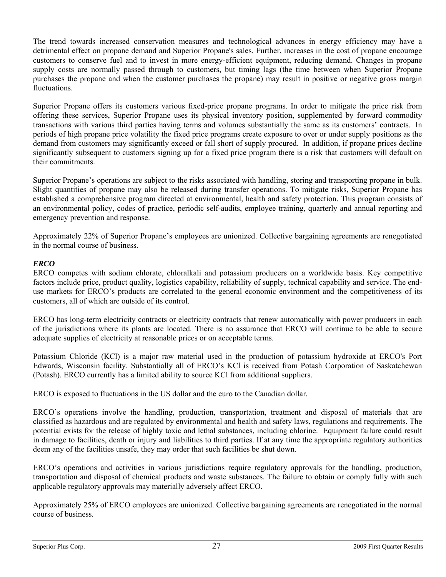The trend towards increased conservation measures and technological advances in energy efficiency may have a detrimental effect on propane demand and Superior Propane's sales. Further, increases in the cost of propane encourage customers to conserve fuel and to invest in more energy-efficient equipment, reducing demand. Changes in propane supply costs are normally passed through to customers, but timing lags (the time between when Superior Propane purchases the propane and when the customer purchases the propane) may result in positive or negative gross margin fluctuations.

Superior Propane offers its customers various fixed-price propane programs. In order to mitigate the price risk from offering these services, Superior Propane uses its physical inventory position, supplemented by forward commodity transactions with various third parties having terms and volumes substantially the same as its customers' contracts. In periods of high propane price volatility the fixed price programs create exposure to over or under supply positions as the demand from customers may significantly exceed or fall short of supply procured. In addition, if propane prices decline significantly subsequent to customers signing up for a fixed price program there is a risk that customers will default on their commitments.

Superior Propane's operations are subject to the risks associated with handling, storing and transporting propane in bulk. Slight quantities of propane may also be released during transfer operations. To mitigate risks, Superior Propane has established a comprehensive program directed at environmental, health and safety protection. This program consists of an environmental policy, codes of practice, periodic self-audits, employee training, quarterly and annual reporting and emergency prevention and response.

Approximately 22% of Superior Propane's employees are unionized. Collective bargaining agreements are renegotiated in the normal course of business.

### *ERCO*

ERCO competes with sodium chlorate, chloralkali and potassium producers on a worldwide basis. Key competitive factors include price, product quality, logistics capability, reliability of supply, technical capability and service. The enduse markets for ERCO's products are correlated to the general economic environment and the competitiveness of its customers, all of which are outside of its control.

ERCO has long-term electricity contracts or electricity contracts that renew automatically with power producers in each of the jurisdictions where its plants are located. There is no assurance that ERCO will continue to be able to secure adequate supplies of electricity at reasonable prices or on acceptable terms.

Potassium Chloride (KCl) is a major raw material used in the production of potassium hydroxide at ERCO's Port Edwards, Wisconsin facility. Substantially all of ERCO's KCl is received from Potash Corporation of Saskatchewan (Potash). ERCO currently has a limited ability to source KCl from additional suppliers.

ERCO is exposed to fluctuations in the US dollar and the euro to the Canadian dollar.

ERCO's operations involve the handling, production, transportation, treatment and disposal of materials that are classified as hazardous and are regulated by environmental and health and safety laws, regulations and requirements. The potential exists for the release of highly toxic and lethal substances, including chlorine. Equipment failure could result in damage to facilities, death or injury and liabilities to third parties. If at any time the appropriate regulatory authorities deem any of the facilities unsafe, they may order that such facilities be shut down.

ERCO's operations and activities in various jurisdictions require regulatory approvals for the handling, production, transportation and disposal of chemical products and waste substances. The failure to obtain or comply fully with such applicable regulatory approvals may materially adversely affect ERCO.

Approximately 25% of ERCO employees are unionized. Collective bargaining agreements are renegotiated in the normal course of business.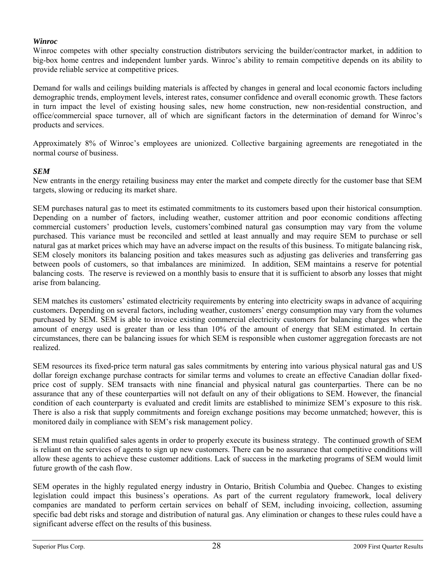### *Winroc*

Winroc competes with other specialty construction distributors servicing the builder/contractor market, in addition to big-box home centres and independent lumber yards. Winroc's ability to remain competitive depends on its ability to provide reliable service at competitive prices.

Demand for walls and ceilings building materials is affected by changes in general and local economic factors including demographic trends, employment levels, interest rates, consumer confidence and overall economic growth. These factors in turn impact the level of existing housing sales, new home construction, new non-residential construction, and office/commercial space turnover, all of which are significant factors in the determination of demand for Winroc's products and services.

Approximately 8% of Winroc's employees are unionized. Collective bargaining agreements are renegotiated in the normal course of business.

#### *SEM*

New entrants in the energy retailing business may enter the market and compete directly for the customer base that SEM targets, slowing or reducing its market share.

SEM purchases natural gas to meet its estimated commitments to its customers based upon their historical consumption. Depending on a number of factors, including weather, customer attrition and poor economic conditions affecting commercial customers' production levels, customers'combined natural gas consumption may vary from the volume purchased. This variance must be reconciled and settled at least annually and may require SEM to purchase or sell natural gas at market prices which may have an adverse impact on the results of this business. To mitigate balancing risk, SEM closely monitors its balancing position and takes measures such as adjusting gas deliveries and transferring gas between pools of customers, so that imbalances are minimized. In addition, SEM maintains a reserve for potential balancing costs. The reserve is reviewed on a monthly basis to ensure that it is sufficient to absorb any losses that might arise from balancing.

SEM matches its customers' estimated electricity requirements by entering into electricity swaps in advance of acquiring customers. Depending on several factors, including weather, customers' energy consumption may vary from the volumes purchased by SEM. SEM is able to invoice existing commercial electricity customers for balancing charges when the amount of energy used is greater than or less than 10% of the amount of energy that SEM estimated. In certain circumstances, there can be balancing issues for which SEM is responsible when customer aggregation forecasts are not realized.

SEM resources its fixed-price term natural gas sales commitments by entering into various physical natural gas and US dollar foreign exchange purchase contracts for similar terms and volumes to create an effective Canadian dollar fixedprice cost of supply. SEM transacts with nine financial and physical natural gas counterparties. There can be no assurance that any of these counterparties will not default on any of their obligations to SEM. However, the financial condition of each counterparty is evaluated and credit limits are established to minimize SEM's exposure to this risk. There is also a risk that supply commitments and foreign exchange positions may become unmatched; however, this is monitored daily in compliance with SEM's risk management policy.

SEM must retain qualified sales agents in order to properly execute its business strategy. The continued growth of SEM is reliant on the services of agents to sign up new customers. There can be no assurance that competitive conditions will allow these agents to achieve these customer additions. Lack of success in the marketing programs of SEM would limit future growth of the cash flow.

SEM operates in the highly regulated energy industry in Ontario, British Columbia and Quebec. Changes to existing legislation could impact this business's operations. As part of the current regulatory framework, local delivery companies are mandated to perform certain services on behalf of SEM, including invoicing, collection, assuming specific bad debt risks and storage and distribution of natural gas. Any elimination or changes to these rules could have a significant adverse effect on the results of this business.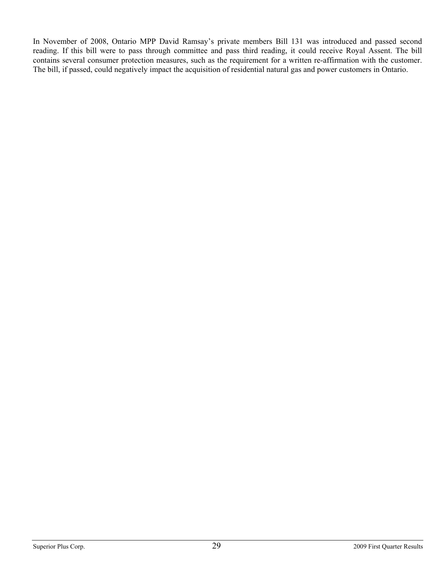In November of 2008, Ontario MPP David Ramsay's private members Bill 131 was introduced and passed second reading. If this bill were to pass through committee and pass third reading, it could receive Royal Assent. The bill contains several consumer protection measures, such as the requirement for a written re-affirmation with the customer. The bill, if passed, could negatively impact the acquisition of residential natural gas and power customers in Ontario.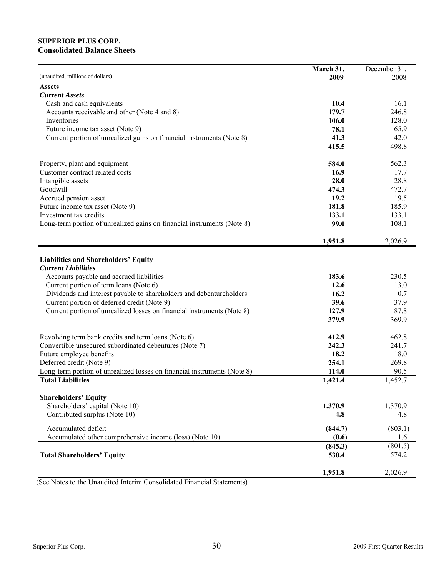### **SUPERIOR PLUS CORP. Consolidated Balance Sheets**

|                                                                          | March 31, | December 31, |
|--------------------------------------------------------------------------|-----------|--------------|
| (unaudited, millions of dollars)                                         | 2009      | 2008         |
| <b>Assets</b>                                                            |           |              |
| <b>Current Assets</b>                                                    |           |              |
| Cash and cash equivalents                                                | 10.4      | 16.1         |
| Accounts receivable and other (Note 4 and 8)                             | 179.7     | 246.8        |
| Inventories                                                              | 106.0     | 128.0        |
| Future income tax asset (Note 9)                                         | 78.1      | 65.9         |
| Current portion of unrealized gains on financial instruments (Note 8)    | 41.3      | 42.0         |
|                                                                          | 415.5     | 498.8        |
| Property, plant and equipment                                            | 584.0     | 562.3        |
| Customer contract related costs                                          | 16.9      | 17.7         |
| Intangible assets                                                        | 28.0      | 28.8         |
| Goodwill                                                                 | 474.3     | 472.7        |
| Accrued pension asset                                                    | 19.2      | 19.5         |
| Future income tax asset (Note 9)                                         | 181.8     | 185.9        |
| Investment tax credits                                                   | 133.1     | 133.1        |
| Long-term portion of unrealized gains on financial instruments (Note 8)  | 99.0      | 108.1        |
|                                                                          |           |              |
|                                                                          | 1,951.8   | 2,026.9      |
| <b>Liabilities and Shareholders' Equity</b>                              |           |              |
| <b>Current Liabilities</b>                                               |           |              |
| Accounts payable and accrued liabilities                                 | 183.6     | 230.5        |
| Current portion of term loans (Note 6)                                   | 12.6      | 13.0         |
| Dividends and interest payable to shareholders and debentureholders      | 16.2      | 0.7          |
| Current portion of deferred credit (Note 9)                              | 39.6      | 37.9         |
| Current portion of unrealized losses on financial instruments (Note 8)   | 127.9     | 87.8         |
|                                                                          | 379.9     | 369.9        |
| Revolving term bank credits and term loans (Note 6)                      | 412.9     | 462.8        |
| Convertible unsecured subordinated debentures (Note 7)                   | 242.3     | 241.7        |
| Future employee benefits                                                 | 18.2      | 18.0         |
| Deferred credit (Note 9)                                                 | 254.1     | 269.8        |
| Long-term portion of unrealized losses on financial instruments (Note 8) | 114.0     | 90.5         |
| <b>Total Liabilities</b>                                                 | 1,421.4   | 1,452.7      |
|                                                                          |           |              |
| <b>Shareholders' Equity</b>                                              |           |              |
| Shareholders' capital (Note 10)                                          | 1,370.9   | 1,370.9      |
| Contributed surplus (Note 10)                                            | 4.8       | 4.8          |
| Accumulated deficit                                                      | (844.7)   | (803.1)      |
| Accumulated other comprehensive income (loss) (Note 10)                  | (0.6)     | 1.6          |
|                                                                          | (845.3)   | (801.5)      |
| <b>Total Shareholders' Equity</b>                                        | 530.4     | 574.2        |
|                                                                          |           |              |
|                                                                          | 1,951.8   | 2,026.9      |

(See Notes to the Unaudited Interim Consolidated Financial Statements)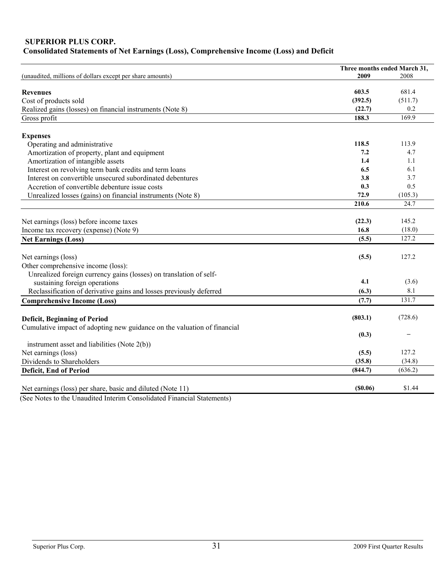### **SUPERIOR PLUS CORP. Consolidated Statements of Net Earnings (Loss), Comprehensive Income (Loss) and Deficit**

|                                                                          | Three months ended March 31, |         |
|--------------------------------------------------------------------------|------------------------------|---------|
| (unaudited, millions of dollars except per share amounts)                | 2009                         | 2008    |
|                                                                          |                              |         |
| <b>Revenues</b>                                                          | 603.5                        | 681.4   |
| Cost of products sold                                                    | (392.5)                      | (511.7) |
| Realized gains (losses) on financial instruments (Note 8)                | (22.7)                       | 0.2     |
| Gross profit                                                             | 188.3                        | 169.9   |
|                                                                          |                              |         |
| <b>Expenses</b>                                                          |                              |         |
| Operating and administrative                                             | 118.5                        | 113.9   |
| Amortization of property, plant and equipment                            | 7.2                          | 4.7     |
| Amortization of intangible assets                                        | 1.4                          | 1.1     |
| Interest on revolving term bank credits and term loans                   | 6.5                          | 6.1     |
| Interest on convertible unsecured subordinated debentures                | 3.8                          | 3.7     |
| Accretion of convertible debenture issue costs                           | 0.3                          | 0.5     |
| Unrealized losses (gains) on financial instruments (Note 8)              | 72.9                         | (105.3) |
|                                                                          | 210.6                        | 24.7    |
|                                                                          |                              |         |
| Net earnings (loss) before income taxes                                  | (22.3)                       | 145.2   |
| Income tax recovery (expense) (Note 9)                                   | 16.8                         | (18.0)  |
| <b>Net Earnings (Loss)</b>                                               | (5.5)                        | 127.2   |
|                                                                          |                              |         |
| Net earnings (loss)                                                      | (5.5)                        | 127.2   |
| Other comprehensive income (loss):                                       |                              |         |
| Unrealized foreign currency gains (losses) on translation of self-       |                              |         |
| sustaining foreign operations                                            | 4.1                          | (3.6)   |
| Reclassification of derivative gains and losses previously deferred      | (6.3)                        | 8.1     |
| <b>Comprehensive Income (Loss)</b>                                       | (7.7)                        | 131.7   |
|                                                                          |                              |         |
| <b>Deficit, Beginning of Period</b>                                      | (803.1)                      | (728.6) |
| Cumulative impact of adopting new guidance on the valuation of financial |                              |         |
|                                                                          | (0.3)                        |         |
| instrument asset and liabilities (Note $2(b)$ )                          |                              |         |
| Net earnings (loss)                                                      | (5.5)                        | 127.2   |
| Dividends to Shareholders                                                | (35.8)                       | (34.8)  |
| Deficit, End of Period                                                   | (844.7)                      | (636.2) |
|                                                                          |                              |         |
| Net earnings (loss) per share, basic and diluted (Note 11)               | (S0.06)                      | \$1.44  |
| (See Mater to the Unevolted Interim Concelidated Einengiel Statements)   |                              |         |

(See Notes to the Unaudited Interim Consolidated Financial Statements)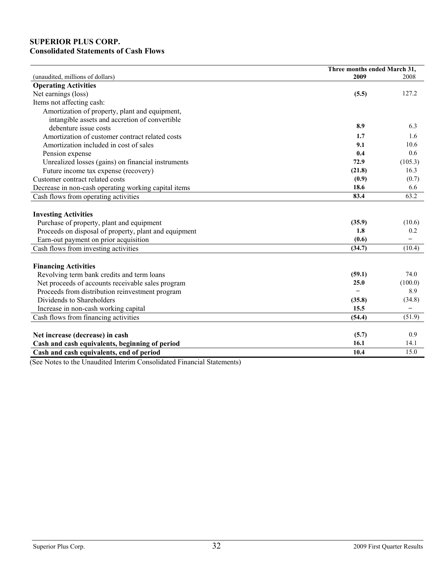### **SUPERIOR PLUS CORP. Consolidated Statements of Cash Flows**

|                                                       | Three months ended March 31, |                          |
|-------------------------------------------------------|------------------------------|--------------------------|
| (unaudited, millions of dollars)                      | 2009                         | 2008                     |
| <b>Operating Activities</b>                           |                              |                          |
| Net earnings (loss)                                   | (5.5)                        | 127.2                    |
| Items not affecting cash:                             |                              |                          |
| Amortization of property, plant and equipment,        |                              |                          |
| intangible assets and accretion of convertible        |                              |                          |
| debenture issue costs                                 | 8.9                          | 6.3                      |
| Amortization of customer contract related costs       | 1.7                          | 1.6                      |
| Amortization included in cost of sales                | 9.1                          | 10.6                     |
| Pension expense                                       | 0.4                          | 0.6                      |
| Unrealized losses (gains) on financial instruments    | 72.9                         | (105.3)                  |
| Future income tax expense (recovery)                  | (21.8)                       | 16.3                     |
| Customer contract related costs                       | (0.9)                        | (0.7)                    |
| Decrease in non-cash operating working capital items  | 18.6                         | 6.6                      |
| Cash flows from operating activities                  | 83.4                         | 63.2                     |
|                                                       |                              |                          |
| <b>Investing Activities</b>                           |                              |                          |
| Purchase of property, plant and equipment             | (35.9)                       | (10.6)                   |
| Proceeds on disposal of property, plant and equipment | 1.8                          | 0.2                      |
| Earn-out payment on prior acquisition                 | (0.6)                        |                          |
| Cash flows from investing activities                  | (34.7)                       | (10.4)                   |
|                                                       |                              |                          |
| <b>Financing Activities</b>                           |                              |                          |
| Revolving term bank credits and term loans            | (59.1)                       | 74.0                     |
| Net proceeds of accounts receivable sales program     | 25.0                         | (100.0)                  |
| Proceeds from distribution reinvestment program       |                              | 8.9                      |
| Dividends to Shareholders                             | (35.8)                       | (34.8)                   |
| Increase in non-cash working capital                  | 15.5                         | $\overline{\phantom{0}}$ |
| Cash flows from financing activities                  | (54.4)                       | (51.9)                   |
|                                                       |                              |                          |
| Net increase (decrease) in cash                       | (5.7)                        | 0.9                      |
| Cash and cash equivalents, beginning of period        | 16.1                         | 14.1                     |
| Cash and cash equivalents, end of period              | 10.4                         | 15.0                     |
|                                                       |                              |                          |

(See Notes to the Unaudited Interim Consolidated Financial Statements)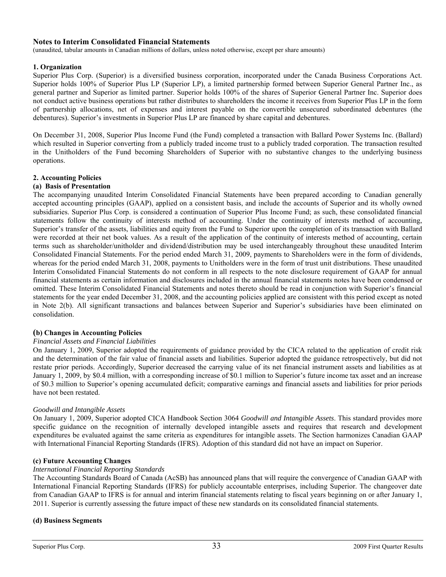#### **Notes to Interim Consolidated Financial Statements**

(unaudited, tabular amounts in Canadian millions of dollars, unless noted otherwise, except per share amounts)

#### **1. Organization**

Superior Plus Corp. (Superior) is a diversified business corporation, incorporated under the Canada Business Corporations Act. Superior holds 100% of Superior Plus LP (Superior LP), a limited partnership formed between Superior General Partner Inc., as general partner and Superior as limited partner. Superior holds 100% of the shares of Superior General Partner Inc. Superior does not conduct active business operations but rather distributes to shareholders the income it receives from Superior Plus LP in the form of partnership allocations, net of expenses and interest payable on the convertible unsecured subordinated debentures (the debentures). Superior's investments in Superior Plus LP are financed by share capital and debentures.

On December 31, 2008, Superior Plus Income Fund (the Fund) completed a transaction with Ballard Power Systems Inc. (Ballard) which resulted in Superior converting from a publicly traded income trust to a publicly traded corporation. The transaction resulted in the Unitholders of the Fund becoming Shareholders of Superior with no substantive changes to the underlying business operations.

#### **2. Accounting Policies**

#### **(a) Basis of Presentation**

The accompanying unaudited Interim Consolidated Financial Statements have been prepared according to Canadian generally accepted accounting principles (GAAP), applied on a consistent basis, and include the accounts of Superior and its wholly owned subsidiaries. Superior Plus Corp. is considered a continuation of Superior Plus Income Fund; as such, these consolidated financial statements follow the continuity of interests method of accounting. Under the continuity of interests method of accounting, Superior's transfer of the assets, liabilities and equity from the Fund to Superior upon the completion of its transaction with Ballard were recorded at their net book values. As a result of the application of the continuity of interests method of accounting, certain terms such as shareholder/unitholder and dividend/distribution may be used interchangeably throughout these unaudited Interim Consolidated Financial Statements. For the period ended March 31, 2009, payments to Shareholders were in the form of dividends, whereas for the period ended March 31, 2008, payments to Unitholders were in the form of trust unit distributions. These unaudited Interim Consolidated Financial Statements do not conform in all respects to the note disclosure requirement of GAAP for annual financial statements as certain information and disclosures included in the annual financial statements notes have been condensed or omitted. These Interim Consolidated Financial Statements and notes thereto should be read in conjunction with Superior's financial statements for the year ended December 31, 2008, and the accounting policies applied are consistent with this period except as noted in Note 2(b). All significant transactions and balances between Superior and Superior's subsidiaries have been eliminated on consolidation.

#### **(b) Changes in Accounting Policies**

#### *Financial Assets and Financial Liabilities*

On January 1, 2009, Superior adopted the requirements of guidance provided by the CICA related to the application of credit risk and the determination of the fair value of financial assets and liabilities. Superior adopted the guidance retrospectively, but did not restate prior periods. Accordingly, Superior decreased the carrying value of its net financial instrument assets and liabilities as at January 1, 2009, by \$0.4 million, with a corresponding increase of \$0.1 million to Superior's future income tax asset and an increase of \$0.3 million to Superior's opening accumulated deficit; comparative earnings and financial assets and liabilities for prior periods have not been restated.

#### *Goodwill and Intangible Assets*

On January 1, 2009, Superior adopted CICA Handbook Section 3064 *Goodwill and Intangible Assets*. This standard provides more specific guidance on the recognition of internally developed intangible assets and requires that research and development expenditures be evaluated against the same criteria as expenditures for intangible assets. The Section harmonizes Canadian GAAP with International Financial Reporting Standards (IFRS). Adoption of this standard did not have an impact on Superior.

#### **(c) Future Accounting Changes**

#### *International Financial Reporting Standards*

The Accounting Standards Board of Canada (AcSB) has announced plans that will require the convergence of Canadian GAAP with International Financial Reporting Standards (IFRS) for publicly accountable enterprises, including Superior. The changeover date from Canadian GAAP to IFRS is for annual and interim financial statements relating to fiscal years beginning on or after January 1, 2011. Superior is currently assessing the future impact of these new standards on its consolidated financial statements.

#### **(d) Business Segments**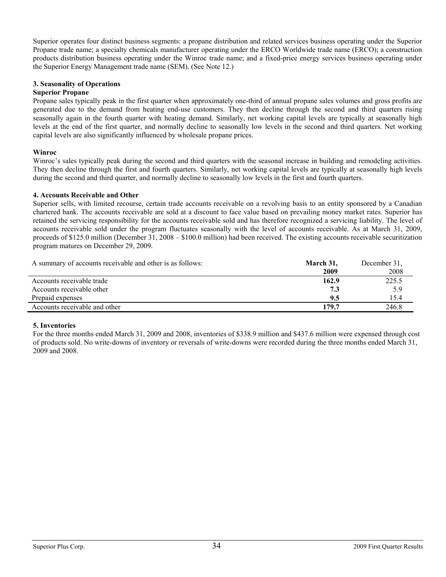Superior operates four distinct business segments: a propane distribution and related services business operating under the Superior Propane trade name; a specialty chemicals manufacturer operating under the ERCO Worldwide trade name (ERCO); a construction products distribution business operating under the Winroc trade name; and a fixed-price energy services business operating under the Superior Energy Management trade name (SEM). (See Note 12.)

#### **3. Seasonality of Operations**

#### **Superior Propane**

Propane sales typically peak in the first quarter when approximately one-third of annual propane sales volumes and gross profits are generated due to the demand from heating end-use customers. They then decline through the second and third quarters rising seasonally again in the fourth quarter with heating demand. Similarly, net working capital levels are typically at seasonally high levels at the end of the first quarter, and normally decline to seasonally low levels in the second and third quarters. Net working capital levels are also significantly influenced by wholesale propane prices.

#### **Winroc**

Winroc's sales typically peak during the second and third quarters with the seasonal increase in building and remodeling activities. They then decline through the first and fourth quarters. Similarly, net working capital levels are typically at seasonally high levels during the second and third quarter, and normally decline to seasonally low levels in the first and fourth quarters.

#### **4. Accounts Receivable and Other**

Superior sells, with limited recourse, certain trade accounts receivable on a revolving basis to an entity sponsored by a Canadian chartered bank. The accounts receivable are sold at a discount to face value based on prevailing money market rates. Superior has retained the servicing responsibility for the accounts receivable sold and has therefore recognized a servicing liability. The level of accounts receivable sold under the program fluctuates seasonally with the level of accounts receivable. As at March 31, 2009, proceeds of \$125.0 million (December 31, 2008 – \$100.0 million) had been received. The existing accounts receivable securitization program matures on December 29, 2009.

| A summary of accounts receivable and other is as follows: | March 31, | December 31. |
|-----------------------------------------------------------|-----------|--------------|
|                                                           | 2009      | 2008         |
| Accounts receivable trade                                 | 162.9     | 225.5        |
| Accounts receivable other                                 | 7.3       | 5.9          |
| Prepaid expenses                                          | 9.5       | 15.4         |
| Accounts receivable and other                             | 179.7     | 246.8        |

#### **5. Inventories**

For the three months ended March 31, 2009 and 2008, inventories of \$338.9 million and \$437.6 million were expensed through cost of products sold. No write-downs of inventory or reversals of write-downs were recorded during the three months ended March 31, 2009 and 2008.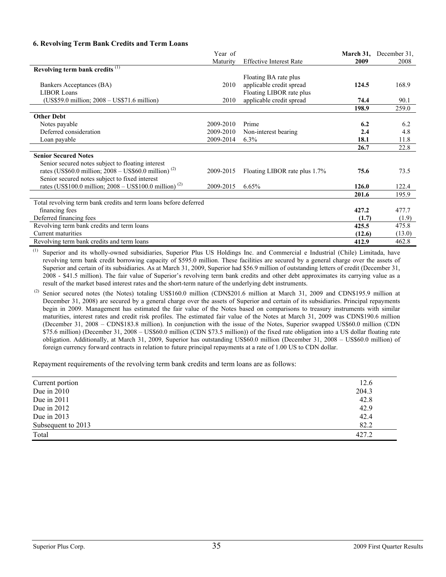#### **6. Revolving Term Bank Credits and Term Loans**

|                                                                     | Year of   |                                |        | March 31, December 31, |
|---------------------------------------------------------------------|-----------|--------------------------------|--------|------------------------|
|                                                                     | Maturity  | <b>Effective Interest Rate</b> | 2009   | 2008                   |
| Revolving term bank credits $\overline{^{(1)}}$                     |           |                                |        |                        |
|                                                                     |           | Floating BA rate plus          |        |                        |
| Bankers Acceptances (BA)                                            | 2010      | applicable credit spread       | 124.5  | 168.9                  |
| <b>LIBOR Loans</b>                                                  |           | Floating LIBOR rate plus       |        |                        |
| $(US$59.0 million; 2008 - US$71.6 million)$                         | 2010      | applicable credit spread       | 74.4   | 90.1                   |
|                                                                     |           |                                | 198.9  | 259.0                  |
| <b>Other Debt</b>                                                   |           |                                |        |                        |
| Notes payable                                                       | 2009-2010 | Prime                          | 6.2    | 6.2                    |
| Deferred consideration                                              | 2009-2010 | Non-interest bearing           | 2.4    | 4.8                    |
| Loan payable                                                        | 2009-2014 | $6.3\%$                        | 18.1   | 11.8                   |
|                                                                     |           |                                | 26.7   | 22.8                   |
| <b>Senior Secured Notes</b>                                         |           |                                |        |                        |
| Senior secured notes subject to floating interest                   |           |                                |        |                        |
| rates (US\$60.0 million; $2008 - US$60.0$ million) <sup>(2)</sup>   | 2009-2015 | Floating LIBOR rate plus 1.7%  | 75.6   | 73.5                   |
| Senior secured notes subject to fixed interest                      |           |                                |        |                        |
| rates (US\$100.0 million; $2008 - US$100.0$ million) <sup>(2)</sup> | 2009-2015 | 6.65%                          | 126.0  | 122.4                  |
|                                                                     |           |                                | 201.6  | 195.9                  |
| Total revolving term bank credits and term loans before deferred    |           |                                |        |                        |
| financing fees                                                      |           |                                | 427.2  | 477.7                  |
| Deferred financing fees                                             |           |                                | (1.7)  | (1.9)                  |
| Revolving term bank credits and term loans                          |           |                                | 425.5  | 475.8                  |
| Current maturities                                                  |           |                                | (12.6) | (13.0)                 |
| Revolving term bank credits and term loans                          |           |                                | 412.9  | 462.8                  |

(1) Superior and its wholly-owned subsidiaries, Superior Plus US Holdings Inc. and Commercial e Industrial (Chile) Limitada, have revolving term bank credit borrowing capacity of \$595.0 million. These facilities are secured by a general charge over the assets of Superior and certain of its subsidiaries. As at March 31, 2009, Superior had \$56.9 million of outstanding letters of credit (December 31, 2008 - \$41.5 million). The fair value of Superior's revolving term bank credits and other debt approximates its carrying value as a result of the market based interest rates and the short-term nature of the underlying debt instruments.

 (2) Senior secured notes (the Notes) totaling US\$160.0 million (CDN\$201.6 million at March 31, 2009 and CDN\$195.9 million at December 31, 2008) are secured by a general charge over the assets of Superior and certain of its subsidiaries. Principal repayments begin in 2009. Management has estimated the fair value of the Notes based on comparisons to treasury instruments with similar maturities, interest rates and credit risk profiles. The estimated fair value of the Notes at March 31, 2009 was CDN\$190.6 million (December 31, 2008 – CDN\$183.8 million). In conjunction with the issue of the Notes, Superior swapped US\$60.0 million (CDN \$75.6 million) (December 31, 2008 – US\$60.0 million (CDN \$73.5 million)) of the fixed rate obligation into a US dollar floating rate obligation. Additionally, at March 31, 2009, Superior has outstanding US\$60.0 million (December 31, 2008 – US\$60.0 million) of foreign currency forward contracts in relation to future principal repayments at a rate of 1.00 US to CDN dollar.

Repayment requirements of the revolving term bank credits and term loans are as follows:

| Current portion    | 12.6  |
|--------------------|-------|
| Due in $2010$      | 204.3 |
| Due in $2011$      | 42.8  |
| Due in $2012$      | 42.9  |
| Due in $2013$      | 42.4  |
| Subsequent to 2013 | 82.2  |
| Total              | 427.2 |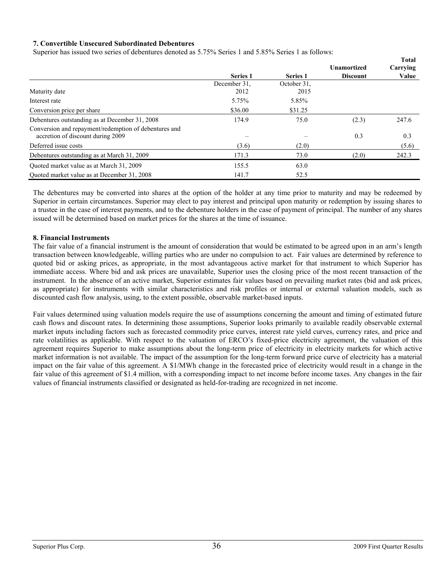#### **7. Convertible Unsecured Subordinated Debentures**

Superior has issued two series of debentures denoted as 5.75% Series 1 and 5.85% Series 1 as follows:

|                                                                                            |                 |                 | <b>Unamortized</b> | <b>Total</b>      |
|--------------------------------------------------------------------------------------------|-----------------|-----------------|--------------------|-------------------|
|                                                                                            | <b>Series 1</b> | <b>Series 1</b> | <b>Discount</b>    | Carrying<br>Value |
|                                                                                            | December 31.    | October 31.     |                    |                   |
| Maturity date                                                                              | 2012            | 2015            |                    |                   |
| Interest rate                                                                              | 5.75%           | 5.85%           |                    |                   |
| Conversion price per share                                                                 | \$36.00         | \$31.25         |                    |                   |
| Debentures outstanding as at December 31, 2008                                             | 174.9           | 75.0            | (2.3)              | 247.6             |
| Conversion and repayment/redemption of debentures and<br>accretion of discount during 2009 |                 |                 | 0.3                | 0.3               |
| Deferred issue costs                                                                       | (3.6)           | (2.0)           |                    | (5.6)             |
| Debentures outstanding as at March 31, 2009                                                | 171.3           | 73.0            | (2.0)              | 242.3             |
| Ouoted market value as at March 31, 2009                                                   | 155.5           | 63.0            |                    |                   |
| Ouoted market value as at December 31, 2008                                                | 141.7           | 52.5            |                    |                   |

The debentures may be converted into shares at the option of the holder at any time prior to maturity and may be redeemed by Superior in certain circumstances. Superior may elect to pay interest and principal upon maturity or redemption by issuing shares to a trustee in the case of interest payments, and to the debenture holders in the case of payment of principal. The number of any shares issued will be determined based on market prices for the shares at the time of issuance.

#### **8. Financial Instruments**

The fair value of a financial instrument is the amount of consideration that would be estimated to be agreed upon in an arm's length transaction between knowledgeable, willing parties who are under no compulsion to act. Fair values are determined by reference to quoted bid or asking prices, as appropriate, in the most advantageous active market for that instrument to which Superior has immediate access. Where bid and ask prices are unavailable, Superior uses the closing price of the most recent transaction of the instrument. In the absence of an active market, Superior estimates fair values based on prevailing market rates (bid and ask prices, as appropriate) for instruments with similar characteristics and risk profiles or internal or external valuation models, such as discounted cash flow analysis, using, to the extent possible, observable market-based inputs.

Fair values determined using valuation models require the use of assumptions concerning the amount and timing of estimated future cash flows and discount rates. In determining those assumptions, Superior looks primarily to available readily observable external market inputs including factors such as forecasted commodity price curves, interest rate yield curves, currency rates, and price and rate volatilities as applicable. With respect to the valuation of ERCO's fixed-price electricity agreement, the valuation of this agreement requires Superior to make assumptions about the long-term price of electricity in electricity markets for which active market information is not available. The impact of the assumption for the long-term forward price curve of electricity has a material impact on the fair value of this agreement. A \$1/MWh change in the forecasted price of electricity would result in a change in the fair value of this agreement of \$1.4 million, with a corresponding impact to net income before income taxes. Any changes in the fair values of financial instruments classified or designated as held-for-trading are recognized in net income.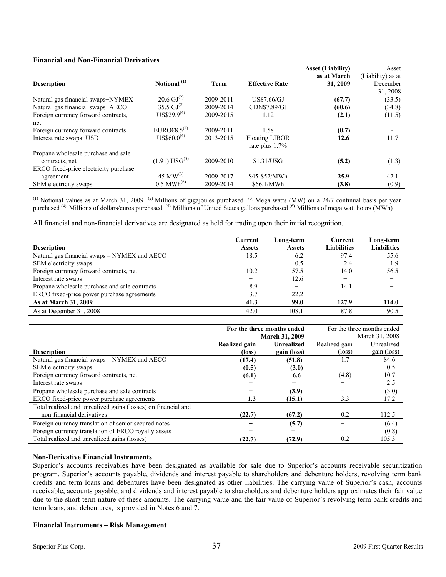#### **Financial and Non-Financial Derivatives**

|                                       |                             |             |                       | <b>Asset (Liability)</b> | Asset             |
|---------------------------------------|-----------------------------|-------------|-----------------------|--------------------------|-------------------|
|                                       |                             |             |                       | as at March              | (Liability) as at |
| <b>Description</b>                    | Notional <sup>(1)</sup>     | <b>Term</b> | <b>Effective Rate</b> | 31, 2009                 | December          |
|                                       |                             |             |                       |                          | 31, 2008          |
| Natural gas financial swaps-NYMEX     | $20.6 \text{ GJ}^{(2)}$     | 2009-2011   | US\$7.66/GJ           | (67.7)                   | (33.5)            |
| Natural gas financial swaps-AECO      | $35.5 \text{ GJ}^{(2)}$     | 2009-2014   | CDN\$7.89/GJ          | (60.6)                   | (34.8)            |
| Foreign currency forward contracts,   | $US$29.9^{(4)}$             | 2009-2015   | 1.12                  | (2.1)                    | (11.5)            |
| net                                   |                             |             |                       |                          |                   |
| Foreign currency forward contracts    | EURO $68.5^{(4)}$           | 2009-2011   | 1.58                  | (0.7)                    |                   |
| Interest rate swaps-USD               | $US$60.0^{(4)}$             | 2013-2015   | <b>Floating LIBOR</b> | 12.6                     | 11.7              |
|                                       |                             |             | rate plus $1.7\%$     |                          |                   |
| Propane wholesale purchase and sale   |                             |             |                       |                          |                   |
| contracts, net                        | $(1.91)$ USG <sup>(5)</sup> | 2009-2010   | \$1.31/USG            | (5.2)                    | (1.3)             |
| ERCO fixed-price electricity purchase |                             |             |                       |                          |                   |
| agreement                             | 45 MW $^{(3)}$              | 2009-2017   | \$45-\$52/MWh         | 25.9                     | 42.1              |
| SEM electricity swaps                 | $0.5 \text{ MWh}^{(6)}$     | 2009-2014   | \$66.1/MWh            | (3.8)                    | (0.9)             |

<sup>(1)</sup> Notional values as at March 31, 2009<sup>(2)</sup> Millions of gigajoules purchased<sup>(3)</sup> Mega watts (MW) on a 24/7 continual basis per year purchased <sup>(4)</sup> Millions of dollars/euros purchased <sup>(5)</sup> Millions of United States gallons purchased <sup>(6)</sup> Millions of mega watt hours (MWh)

All financial and non-financial derivatives are designated as held for trading upon their initial recognition.

| <b>Description</b>                            | Current<br><b>Assets</b> | Long-term<br><b>Assets</b> | Current<br>Liabilities | Long-term<br><b>Liabilities</b> |
|-----------------------------------------------|--------------------------|----------------------------|------------------------|---------------------------------|
| Natural gas financial swaps - NYMEX and AECO  | 18.5                     | 6.2                        | 97.4                   | 55.6                            |
| SEM electricity swaps                         |                          | 0.5                        | 2.4                    | 1.9                             |
| Foreign currency forward contracts, net       | 10.2                     | 57.5                       | 14.0                   | 56.5                            |
| Interest rate swaps                           |                          | 12.6                       |                        |                                 |
| Propane wholesale purchase and sale contracts | 8.9                      |                            | 14.1                   |                                 |
| ERCO fixed-price power purchase agreements    | 3.7                      | 22.2                       |                        |                                 |
| As at March 31, 2009                          | 41.3                     | 99.0                       | 127.9                  | 114.0                           |
| As at December 31, 2008                       | 42.0                     | 108.1                      | 87.8                   | 90.5                            |

|                                                               | For the three months ended |                       |               | For the three months ended |
|---------------------------------------------------------------|----------------------------|-----------------------|---------------|----------------------------|
|                                                               |                            | <b>March 31, 2009</b> |               | March 31, 2008             |
|                                                               | <b>Realized gain</b>       | <b>Unrealized</b>     | Realized gain | Unrealized                 |
| <b>Description</b>                                            | (loss)                     | gain (loss)           | (loss)        | gain (loss)                |
| Natural gas financial swaps - NYMEX and AECO                  | (17.4)                     | (51.8)                | 1.7           | 84.6                       |
| SEM electricity swaps                                         | (0.5)                      | (3.0)                 |               | 0.5                        |
| Foreign currency forward contracts, net                       | (6.1)                      | 6.6                   | (4.8)         | 10.7                       |
| Interest rate swaps                                           |                            |                       |               | 2.5                        |
| Propane wholesale purchase and sale contracts                 |                            | (3.9)                 |               | (3.0)                      |
| ERCO fixed-price power purchase agreements                    | 1.3                        | (15.1)                | 3.3           | 17.2                       |
| Total realized and unrealized gains (losses) on financial and |                            |                       |               |                            |
| non-financial derivatives                                     | (22.7)                     | (67.2)                | 0.2           | 112.5                      |
| Foreign currency translation of senior secured notes          |                            | (5.7)                 |               | (6.4)                      |
| Foreign currency translation of ERCO royalty assets           |                            |                       |               | (0.8)                      |
| Total realized and unrealized gains (losses)                  | (22.7)                     | (72.9)                | 0.2           | 105.3                      |

#### **Non-Derivative Financial Instruments**

Superior's accounts receivables have been designated as available for sale due to Superior's accounts receivable securitization program, Superior's accounts payable, dividends and interest payable to shareholders and debenture holders, revolving term bank credits and term loans and debentures have been designated as other liabilities. The carrying value of Superior's cash, accounts receivable, accounts payable, and dividends and interest payable to shareholders and debenture holders approximates their fair value due to the short-term nature of these amounts. The carrying value and the fair value of Superior's revolving term bank credits and term loans, and debentures, is provided in Notes 6 and 7.

#### **Financial Instruments – Risk Management**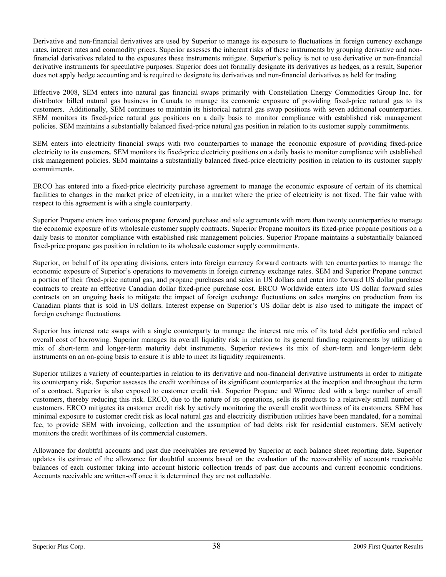Derivative and non-financial derivatives are used by Superior to manage its exposure to fluctuations in foreign currency exchange rates, interest rates and commodity prices. Superior assesses the inherent risks of these instruments by grouping derivative and nonfinancial derivatives related to the exposures these instruments mitigate. Superior's policy is not to use derivative or non-financial derivative instruments for speculative purposes. Superior does not formally designate its derivatives as hedges, as a result, Superior does not apply hedge accounting and is required to designate its derivatives and non-financial derivatives as held for trading.

Effective 2008, SEM enters into natural gas financial swaps primarily with Constellation Energy Commodities Group Inc. for distributor billed natural gas business in Canada to manage its economic exposure of providing fixed-price natural gas to its customers. Additionally, SEM continues to maintain its historical natural gas swap positions with seven additional counterparties. SEM monitors its fixed-price natural gas positions on a daily basis to monitor compliance with established risk management policies. SEM maintains a substantially balanced fixed-price natural gas position in relation to its customer supply commitments.

SEM enters into electricity financial swaps with two counterparties to manage the economic exposure of providing fixed-price electricity to its customers. SEM monitors its fixed-price electricity positions on a daily basis to monitor compliance with established risk management policies. SEM maintains a substantially balanced fixed-price electricity position in relation to its customer supply commitments.

ERCO has entered into a fixed-price electricity purchase agreement to manage the economic exposure of certain of its chemical facilities to changes in the market price of electricity, in a market where the price of electricity is not fixed. The fair value with respect to this agreement is with a single counterparty.

Superior Propane enters into various propane forward purchase and sale agreements with more than twenty counterparties to manage the economic exposure of its wholesale customer supply contracts. Superior Propane monitors its fixed-price propane positions on a daily basis to monitor compliance with established risk management policies. Superior Propane maintains a substantially balanced fixed-price propane gas position in relation to its wholesale customer supply commitments.

Superior, on behalf of its operating divisions, enters into foreign currency forward contracts with ten counterparties to manage the economic exposure of Superior's operations to movements in foreign currency exchange rates. SEM and Superior Propane contract a portion of their fixed-price natural gas, and propane purchases and sales in US dollars and enter into forward US dollar purchase contracts to create an effective Canadian dollar fixed-price purchase cost. ERCO Worldwide enters into US dollar forward sales contracts on an ongoing basis to mitigate the impact of foreign exchange fluctuations on sales margins on production from its Canadian plants that is sold in US dollars. Interest expense on Superior's US dollar debt is also used to mitigate the impact of foreign exchange fluctuations.

Superior has interest rate swaps with a single counterparty to manage the interest rate mix of its total debt portfolio and related overall cost of borrowing. Superior manages its overall liquidity risk in relation to its general funding requirements by utilizing a mix of short-term and longer-term maturity debt instruments. Superior reviews its mix of short-term and longer-term debt instruments on an on-going basis to ensure it is able to meet its liquidity requirements.

Superior utilizes a variety of counterparties in relation to its derivative and non-financial derivative instruments in order to mitigate its counterparty risk. Superior assesses the credit worthiness of its significant counterparties at the inception and throughout the term of a contract. Superior is also exposed to customer credit risk. Superior Propane and Winroc deal with a large number of small customers, thereby reducing this risk. ERCO, due to the nature of its operations, sells its products to a relatively small number of customers. ERCO mitigates its customer credit risk by actively monitoring the overall credit worthiness of its customers. SEM has minimal exposure to customer credit risk as local natural gas and electricity distribution utilities have been mandated, for a nominal fee, to provide SEM with invoicing, collection and the assumption of bad debts risk for residential customers. SEM actively monitors the credit worthiness of its commercial customers.

Allowance for doubtful accounts and past due receivables are reviewed by Superior at each balance sheet reporting date. Superior updates its estimate of the allowance for doubtful accounts based on the evaluation of the recoverability of accounts receivable balances of each customer taking into account historic collection trends of past due accounts and current economic conditions. Accounts receivable are written-off once it is determined they are not collectable.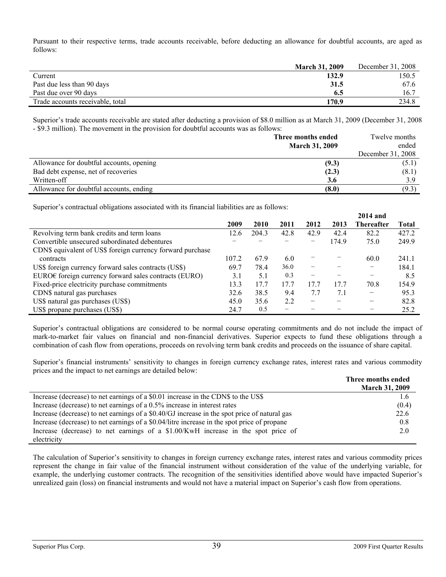Pursuant to their respective terms, trade accounts receivable, before deducting an allowance for doubtful accounts, are aged as follows:

|                                  | <b>March 31, 2009</b> | December 31, 2008 |
|----------------------------------|-----------------------|-------------------|
| Current                          | 132.9                 | 150.5             |
| Past due less than 90 days       | 31.5                  | 67.6              |
| Past due over 90 days            | 6.5                   | 16.7              |
| Trade accounts receivable, total | 170.9                 | 234.8             |

Superior's trade accounts receivable are stated after deducting a provision of \$8.0 million as at March 31, 2009 (December 31, 2008 - \$9.3 million). The movement in the provision for doubtful accounts was as follows:

|                                          | Three months ended    | Twelve months     |
|------------------------------------------|-----------------------|-------------------|
|                                          | <b>March 31, 2009</b> | ended             |
|                                          |                       | December 31, 2008 |
| Allowance for doubtful accounts, opening | (9.3)                 | (5.1)             |
| Bad debt expense, net of recoveries      | (2.3)                 | (8.1)             |
| Written-off                              | 3.6                   | 39                |
| Allowance for doubtful accounts, ending  | (8.0)                 | (9.3)             |

Superior's contractual obligations associated with its financial liabilities are as follows:

|                                                            |       |       |      |      |       | $2014$ and |              |
|------------------------------------------------------------|-------|-------|------|------|-------|------------|--------------|
|                                                            | 2009  | 2010  | 2011 | 2012 | 2013  | Thereafter | <b>Total</b> |
| Revolving term bank credits and term loans                 | 12.6  | 204.3 | 42.8 | 42.9 | 42.4  | 82.2       | 427.2        |
| Convertible unsecured subordinated debentures              |       |       |      | -    | 174.9 | 75.0       | 249.9        |
| CDN\$ equivalent of US\$ foreign currency forward purchase |       |       |      |      |       |            |              |
| contracts                                                  | 107.2 | 67.9  | 6.0  |      |       | 60.0       | 241.1        |
| US\$ foreign currency forward sales contracts (US\$)       | 69.7  | 78.4  | 36.0 |      |       |            | 184.1        |
| EURO€ foreign currency forward sales contracts (EURO)      | 3.1   | 5.1   | 0.3  | -    |       |            | 8.5          |
| Fixed-price electricity purchase commitments               | 13.3  | 17.7  | 17.7 | 17.7 | 17.7  | 70.8       | 154.9        |
| CDN\$ natural gas purchases                                | 32.6  | 38.5  | 9.4  | 7.7  | 7.1   | -          | 95.3         |
| US\$ natural gas purchases (US\$)                          | 45.0  | 35.6  | 2.2  | —    |       |            | 82.8         |
| US\$ propane purchases (US\$)                              | 24.7  | 0.5   |      |      |       |            | 25.2         |

Superior's contractual obligations are considered to be normal course operating commitments and do not include the impact of mark-to-market fair values on financial and non-financial derivatives. Superior expects to fund these obligations through a combination of cash flow from operations, proceeds on revolving term bank credits and proceeds on the issuance of share capital.

Superior's financial instruments' sensitivity to changes in foreign currency exchange rates, interest rates and various commodity prices and the impact to net earnings are detailed below:

|                                                                                              | Three months ended    |
|----------------------------------------------------------------------------------------------|-----------------------|
|                                                                                              | <b>March 31, 2009</b> |
| Increase (decrease) to net earnings of a \$0.01 increase in the CDN\$ to the US\$            | 1.6                   |
| Increase (decrease) to net earnings of a 0.5% increase in interest rates                     | (0.4)                 |
| Increase (decrease) to net earnings of a \$0.40/GJ increase in the spot price of natural gas | 22.6                  |
| Increase (decrease) to net earnings of a \$0.04/litre increase in the spot price of propane  | 0.8                   |
| Increase (decrease) to net earnings of a \$1.00/KwH increase in the spot price of            | 2.0                   |
| electricity                                                                                  |                       |

The calculation of Superior's sensitivity to changes in foreign currency exchange rates, interest rates and various commodity prices represent the change in fair value of the financial instrument without consideration of the value of the underlying variable, for example, the underlying customer contracts. The recognition of the sensitivities identified above would have impacted Superior's unrealized gain (loss) on financial instruments and would not have a material impact on Superior's cash flow from operations.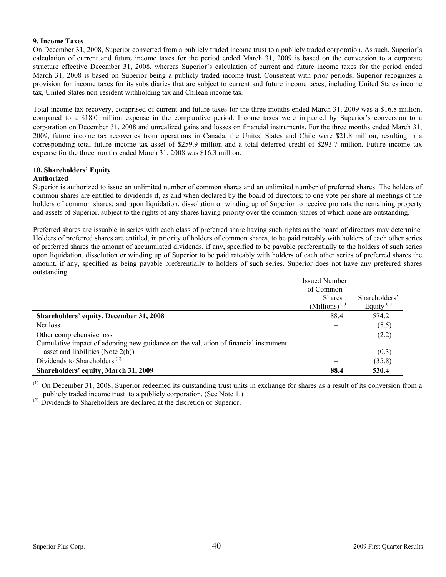#### **9. Income Taxes**

On December 31, 2008, Superior converted from a publicly traded income trust to a publicly traded corporation. As such, Superior's calculation of current and future income taxes for the period ended March 31, 2009 is based on the conversion to a corporate structure effective December 31, 2008, whereas Superior's calculation of current and future income taxes for the period ended March 31, 2008 is based on Superior being a publicly traded income trust. Consistent with prior periods, Superior recognizes a provision for income taxes for its subsidiaries that are subject to current and future income taxes, including United States income tax, United States non-resident withholding tax and Chilean income tax.

Total income tax recovery, comprised of current and future taxes for the three months ended March 31, 2009 was a \$16.8 million, compared to a \$18.0 million expense in the comparative period. Income taxes were impacted by Superior's conversion to a corporation on December 31, 2008 and unrealized gains and losses on financial instruments. For the three months ended March 31, 2009, future income tax recoveries from operations in Canada, the United States and Chile were \$21.8 million, resulting in a corresponding total future income tax asset of \$259.9 million and a total deferred credit of \$293.7 million. Future income tax expense for the three months ended March 31, 2008 was \$16.3 million.

### **10. Shareholders' Equity**

#### **Authorized**

Superior is authorized to issue an unlimited number of common shares and an unlimited number of preferred shares. The holders of common shares are entitled to dividends if, as and when declared by the board of directors; to one vote per share at meetings of the holders of common shares; and upon liquidation, dissolution or winding up of Superior to receive pro rata the remaining property and assets of Superior, subject to the rights of any shares having priority over the common shares of which none are outstanding.

Preferred shares are issuable in series with each class of preferred share having such rights as the board of directors may determine. Holders of preferred shares are entitled, in priority of holders of common shares, to be paid rateably with holders of each other series of preferred shares the amount of accumulated dividends, if any, specified to be payable preferentially to the holders of such series upon liquidation, dissolution or winding up of Superior to be paid rateably with holders of each other series of preferred shares the amount, if any, specified as being payable preferentially to holders of such series. Superior does not have any preferred shares outstanding.

|                                                                                     | <b>Issued Number</b>        |                                    |
|-------------------------------------------------------------------------------------|-----------------------------|------------------------------------|
|                                                                                     | of Common                   |                                    |
|                                                                                     | <b>Shares</b>               | Shareholders'                      |
|                                                                                     | $(Millions)$ <sup>(1)</sup> | Equity <sup><math>(1)</math></sup> |
| <b>Shareholders' equity, December 31, 2008</b>                                      | 88.4                        | 574.2                              |
| Net loss                                                                            |                             | (5.5)                              |
| Other comprehensive loss                                                            |                             | (2.2)                              |
| Cumulative impact of adopting new guidance on the valuation of financial instrument |                             |                                    |
| asset and liabilities (Note $2(b)$ )                                                |                             | (0.3)                              |
| Dividends to Shareholders <sup><math>(2)</math></sup>                               |                             | (35.8)                             |
| <b>Shareholders' equity, March 31, 2009</b>                                         | 88.4                        | 530.4                              |

 $(1)$  On December 31, 2008, Superior redeemed its outstanding trust units in exchange for shares as a result of its conversion from a publicly traded income trust to a publicly corporation. (See Note 1.)

 $^{(2)}$  Dividends to Shareholders are declared at the discretion of Superior.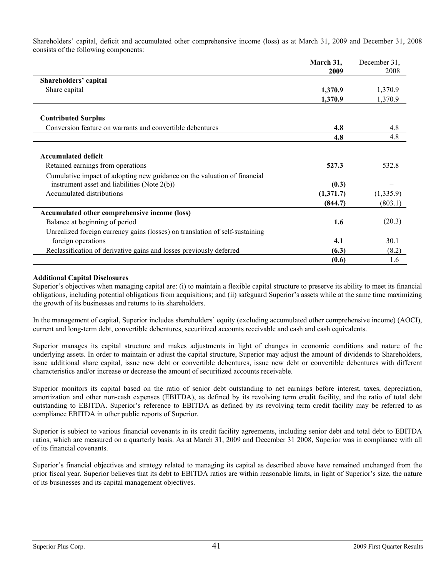Shareholders' capital, deficit and accumulated other comprehensive income (loss) as at March 31, 2009 and December 31, 2008 consists of the following components:

|                                                                              | March 31,        | December 31, |
|------------------------------------------------------------------------------|------------------|--------------|
|                                                                              | 2009             | 2008         |
| Shareholders' capital                                                        |                  |              |
| Share capital                                                                | 1,370.9          | 1,370.9      |
|                                                                              | 1,370.9          | 1,370.9      |
| <b>Contributed Surplus</b>                                                   |                  |              |
| Conversion feature on warrants and convertible debentures                    | 4.8              | 4.8          |
|                                                                              | 4.8              | 4.8          |
| <b>Accumulated deficit</b>                                                   |                  |              |
| Retained earnings from operations                                            | 527.3            | 532.8        |
| Cumulative impact of adopting new guidance on the valuation of financial     |                  |              |
| instrument asset and liabilities (Note $2(b)$ )                              | (0.3)            |              |
| Accumulated distributions                                                    | (1,371.7)        | (1,335.9)    |
|                                                                              | (844.7)          | (803.1)      |
| Accumulated other comprehensive income (loss)                                |                  |              |
| Balance at beginning of period                                               | $1.6\phantom{0}$ | (20.3)       |
| Unrealized foreign currency gains (losses) on translation of self-sustaining |                  |              |
| foreign operations                                                           | 4.1              | 30.1         |
| Reclassification of derivative gains and losses previously deferred          | (6.3)            | (8.2)        |
|                                                                              | (0.6)            | 1.6          |

#### **Additional Capital Disclosures**

Superior's objectives when managing capital are: (i) to maintain a flexible capital structure to preserve its ability to meet its financial obligations, including potential obligations from acquisitions; and (ii) safeguard Superior's assets while at the same time maximizing the growth of its businesses and returns to its shareholders.

In the management of capital, Superior includes shareholders' equity (excluding accumulated other comprehensive income) (AOCI), current and long-term debt, convertible debentures, securitized accounts receivable and cash and cash equivalents.

Superior manages its capital structure and makes adjustments in light of changes in economic conditions and nature of the underlying assets. In order to maintain or adjust the capital structure, Superior may adjust the amount of dividends to Shareholders, issue additional share capital, issue new debt or convertible debentures, issue new debt or convertible debentures with different characteristics and/or increase or decrease the amount of securitized accounts receivable.

Superior monitors its capital based on the ratio of senior debt outstanding to net earnings before interest, taxes, depreciation, amortization and other non-cash expenses (EBITDA), as defined by its revolving term credit facility, and the ratio of total debt outstanding to EBITDA. Superior's reference to EBITDA as defined by its revolving term credit facility may be referred to as compliance EBITDA in other public reports of Superior.

Superior is subject to various financial covenants in its credit facility agreements, including senior debt and total debt to EBITDA ratios, which are measured on a quarterly basis. As at March 31, 2009 and December 31 2008, Superior was in compliance with all of its financial covenants.

Superior's financial objectives and strategy related to managing its capital as described above have remained unchanged from the prior fiscal year. Superior believes that its debt to EBITDA ratios are within reasonable limits, in light of Superior's size, the nature of its businesses and its capital management objectives.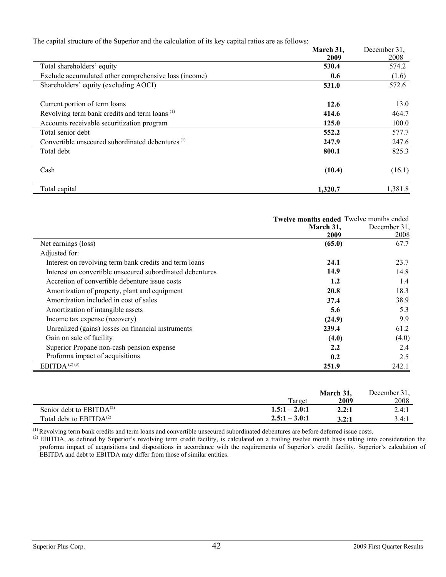The capital structure of the Superior and the calculation of its key capital ratios are as follows:

|                                                              | March 31,<br>2009 | December 31,<br>2008 |
|--------------------------------------------------------------|-------------------|----------------------|
| Total shareholders' equity                                   | 530.4             | 574.2                |
| Exclude accumulated other comprehensive loss (income)        | 0.6               | (1.6)                |
| Shareholders' equity (excluding AOCI)                        | 531.0             | 572.6                |
| Current portion of term loans                                | 12.6              | 13.0                 |
| Revolving term bank credits and term loans <sup>(1)</sup>    | 414.6             | 464.7                |
| Accounts receivable securitization program                   | 125.0             | 100.0                |
| Total senior debt                                            | 552.2             | 577.7                |
| Convertible unsecured subordinated debentures <sup>(1)</sup> | 247.9             | 247.6                |
| Total debt                                                   | 800.1             | 825.3                |
| Cash                                                         | (10.4)            | (16.1)               |
| Total capital                                                | 1,320.7           | 1,381.8              |

|                                                           | <b>Twelve months ended</b> Twelve months ended<br>March 31, | December 31,<br>2008 |
|-----------------------------------------------------------|-------------------------------------------------------------|----------------------|
| Net earnings (loss)                                       | 2009<br>(65.0)                                              | 67.7                 |
| Adjusted for:                                             |                                                             |                      |
| Interest on revolving term bank credits and term loans    | 24.1                                                        | 23.7                 |
| Interest on convertible unsecured subordinated debentures | 14.9                                                        | 14.8                 |
| Accretion of convertible debenture issue costs            | 1.2                                                         | 1.4                  |
| Amortization of property, plant and equipment             | 20.8                                                        | 18.3                 |
| Amortization included in cost of sales                    | 37.4                                                        | 38.9                 |
| Amortization of intangible assets                         | 5.6                                                         | 5.3                  |
| Income tax expense (recovery)                             | (24.9)                                                      | 9.9                  |
| Unrealized (gains) losses on financial instruments        | 239.4                                                       | 61.2                 |
| Gain on sale of facility                                  | (4.0)                                                       | (4.0)                |
| Superior Propane non-cash pension expense                 | 2.2                                                         | 2.4                  |
| Proforma impact of acquisitions                           | 0.2                                                         | 2.5                  |
| EBITDA $^{(2)(3)}$                                        | 251.9                                                       | 242.1                |

|                            |                 | March 31. | December 31. |
|----------------------------|-----------------|-----------|--------------|
|                            | Target          | 2009      | 2008         |
| Senior debt to $EBITDA(2)$ | $1.5:1 - 2.0:1$ | 2.2:1     | 2.4:1        |
| Total debt to $EBITDA(2)$  | $2.5:1 - 3.0:1$ | 3.2:1     | 3.4:1        |

(1) Revolving term bank credits and term loans and convertible unsecured subordinated debentures are before deferred issue costs.

<sup>(2)</sup> EBITDA, as defined by Superior's revolving term credit facility, is calculated on a trailing twelve month basis taking into consideration the proforma impact of acquisitions and dispositions in accordance with the requirements of Superior's credit facility. Superior's calculation of EBITDA and debt to EBITDA may differ from those of similar entities.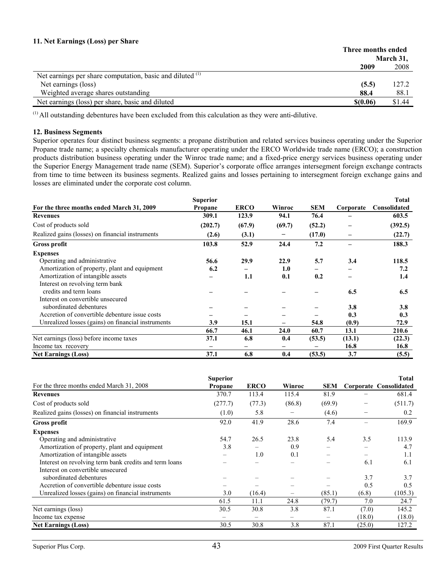#### **11. Net Earnings (Loss) per Share**

|                                                                      | Three months ended |        |  |
|----------------------------------------------------------------------|--------------------|--------|--|
|                                                                      | March 31,          |        |  |
|                                                                      | 2009               | 2008   |  |
| Net earnings per share computation, basic and diluted <sup>(1)</sup> |                    |        |  |
| Net earnings (loss)                                                  | (5.5)              | 127.2  |  |
| Weighted average shares outstanding                                  | 88.4               | 88.1   |  |
| Net earnings (loss) per share, basic and diluted                     | \$(0.06)           | \$1.44 |  |

(1) All outstanding debentures have been excluded from this calculation as they were anti-dilutive.

#### **12. Business Segments**

Superior operates four distinct business segments: a propane distribution and related services business operating under the Superior Propane trade name; a specialty chemicals manufacturer operating under the ERCO Worldwide trade name (ERCO); a construction products distribution business operating under the Winroc trade name; and a fixed-price energy services business operating under the Superior Energy Management trade name (SEM). Superior's corporate office arranges intersegment foreign exchange contracts from time to time between its business segments. Realized gains and losses pertaining to intersegment foreign exchange gains and losses are eliminated under the corporate cost column.

|                                                    | <b>Superior</b> |             |        |            |                 | <b>Total</b> |
|----------------------------------------------------|-----------------|-------------|--------|------------|-----------------|--------------|
| For the three months ended March 31, 2009          | <b>Propane</b>  | <b>ERCO</b> | Winroc | <b>SEM</b> | Corporate       | Consolidated |
| <b>Revenues</b>                                    | 309.1           | 123.9       | 94.1   | 76.4       |                 | 603.5        |
| Cost of products sold                              | (202.7)         | (67.9)      | (69.7) | (52.2)     |                 | (392.5)      |
| Realized gains (losses) on financial instruments   | (2.6)           | (3.1)       |        | (17.0)     | $\qquad \qquad$ | (22.7)       |
| <b>Gross profit</b>                                | 103.8           | 52.9        | 24.4   | 7.2        |                 | 188.3        |
| <b>Expenses</b>                                    |                 |             |        |            |                 |              |
| Operating and administrative                       | 56.6            | 29.9        | 22.9   | 5.7        | 3.4             | 118.5        |
| Amortization of property, plant and equipment      | 6.2             |             | 1.0    |            |                 | 7.2          |
| Amortization of intangible assets                  |                 | 1.1         | 0.1    | 0.2        |                 | 1.4          |
| Interest on revolving term bank                    |                 |             |        |            |                 |              |
| credits and term loans                             |                 |             |        |            | 6.5             | 6.5          |
| Interest on convertible unsecured                  |                 |             |        |            |                 |              |
| subordinated debentures                            |                 |             |        |            | 3.8             | 3.8          |
| Accretion of convertible debenture issue costs     |                 |             |        |            | 0.3             | 0.3          |
| Unrealized losses (gains) on financial instruments | 3.9             | 15.1        |        | 54.8       | (0.9)           | 72.9         |
|                                                    | 66.7            | 46.1        | 24.0   | 60.7       | 13.1            | 210.6        |
| Net earnings (loss) before income taxes            | 37.1            | 6.8         | 0.4    | (53.5)     | (13.1)          | (22.3)       |
| Income tax recovery                                |                 |             |        |            | 16.8            | 16.8         |
| <b>Net Earnings (Loss)</b>                         | 37.1            | 6.8         | 0.4    | (53.5)     | 3.7             | (5.5)        |

|                                                        | <b>Superior</b>          |             |                   |                 |        | <b>Total</b>                  |
|--------------------------------------------------------|--------------------------|-------------|-------------------|-----------------|--------|-------------------------------|
| For the three months ended March 31, 2008              | Propane                  | <b>ERCO</b> | Winroc            | <b>SEM</b>      |        | <b>Corporate Consolidated</b> |
| <b>Revenues</b>                                        | 370.7                    | 113.4       | 115.4             | 81.9            |        | 681.4                         |
| Cost of products sold                                  | (277.7)                  | (77.3)      | (86.8)            | (69.9)          |        | (511.7)                       |
| Realized gains (losses) on financial instruments       | (1.0)                    | 5.8         |                   | (4.6)           |        | 0.2                           |
| <b>Gross profit</b>                                    | 92.0                     | 41.9        | 28.6              | 7.4             |        | 169.9                         |
| <b>Expenses</b>                                        |                          |             |                   |                 |        |                               |
| Operating and administrative                           | 54.7                     | 26.5        | 23.8              | 5.4             | 3.5    | 113.9                         |
| Amortization of property, plant and equipment          | 3.8                      |             | 0.9               |                 |        | 4.7                           |
| Amortization of intangible assets                      |                          | 1.0         | 0.1               |                 |        | 1.1                           |
| Interest on revolving term bank credits and term loans |                          |             |                   |                 | 6.1    | 6.1                           |
| Interest on convertible unsecured                      |                          |             |                   |                 |        |                               |
| subordinated debentures                                |                          |             |                   |                 | 3.7    | 3.7                           |
| Accretion of convertible debenture issue costs         |                          |             |                   |                 | 0.5    | 0.5                           |
| Unrealized losses (gains) on financial instruments     | 3.0                      | (16.4)      |                   | (85.1)          | (6.8)  | (105.3)                       |
|                                                        | 61.5                     | 11.1        | 24.8              | (79.7)          | 7.0    | 24.7                          |
| Net earnings (loss)                                    | 30.5                     | 30.8        | 3.8               | 87.1            | (7.0)  | 145.2                         |
| Income tax expense                                     | $\overline{\phantom{0}}$ | -           | $\qquad \qquad -$ | $\qquad \qquad$ | (18.0) | (18.0)                        |
| <b>Net Earnings (Loss)</b>                             | 30.5                     | 30.8        | 3.8               | 87.1            | (25.0) | 127.2                         |